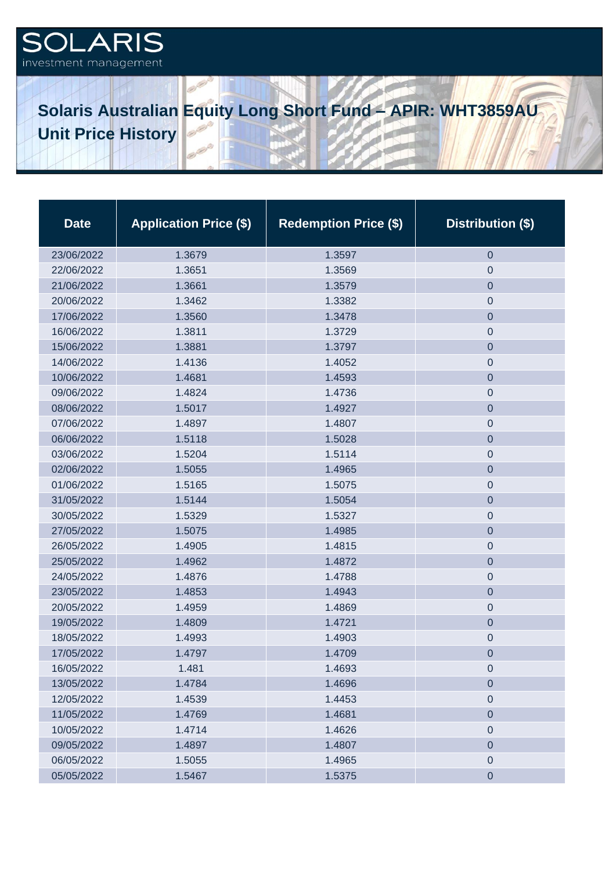## **ARIS** investment management

## **Solaris Australian Equity Long Short Fund – APIR: WHT3859AU Unit Price History**

| <b>Date</b> | <b>Application Price (\$)</b> | <b>Redemption Price (\$)</b> | Distribution (\$) |
|-------------|-------------------------------|------------------------------|-------------------|
| 23/06/2022  | 1.3679                        | 1.3597                       | $\theta$          |
| 22/06/2022  | 1.3651                        | 1.3569                       | 0                 |
| 21/06/2022  | 1.3661                        | 1.3579                       | $\boldsymbol{0}$  |
| 20/06/2022  | 1.3462                        | 1.3382                       | $\mathbf 0$       |
| 17/06/2022  | 1.3560                        | 1.3478                       | $\boldsymbol{0}$  |
| 16/06/2022  | 1.3811                        | 1.3729                       | $\mathbf 0$       |
| 15/06/2022  | 1.3881                        | 1.3797                       | $\mathbf 0$       |
| 14/06/2022  | 1.4136                        | 1.4052                       | $\mathbf 0$       |
| 10/06/2022  | 1.4681                        | 1.4593                       | $\mathbf 0$       |
| 09/06/2022  | 1.4824                        | 1.4736                       | $\boldsymbol{0}$  |
| 08/06/2022  | 1.5017                        | 1.4927                       | $\mathbf 0$       |
| 07/06/2022  | 1.4897                        | 1.4807                       | $\boldsymbol{0}$  |
| 06/06/2022  | 1.5118                        | 1.5028                       | $\mathbf 0$       |
| 03/06/2022  | 1.5204                        | 1.5114                       | $\pmb{0}$         |
| 02/06/2022  | 1.5055                        | 1.4965                       | $\boldsymbol{0}$  |
| 01/06/2022  | 1.5165                        | 1.5075                       | $\boldsymbol{0}$  |
| 31/05/2022  | 1.5144                        | 1.5054                       | $\mathbf 0$       |
| 30/05/2022  | 1.5329                        | 1.5327                       | $\boldsymbol{0}$  |
| 27/05/2022  | 1.5075                        | 1.4985                       | $\overline{0}$    |
| 26/05/2022  | 1.4905                        | 1.4815                       | $\boldsymbol{0}$  |
| 25/05/2022  | 1.4962                        | 1.4872                       | $\overline{0}$    |
| 24/05/2022  | 1.4876                        | 1.4788                       | $\boldsymbol{0}$  |
| 23/05/2022  | 1.4853                        | 1.4943                       | $\mathbf 0$       |
| 20/05/2022  | 1.4959                        | 1.4869                       | $\boldsymbol{0}$  |
| 19/05/2022  | 1.4809                        | 1.4721                       | $\boldsymbol{0}$  |
| 18/05/2022  | 1.4993                        | 1.4903                       | $\boldsymbol{0}$  |
| 17/05/2022  | 1.4797                        | 1.4709                       | $\boldsymbol{0}$  |
| 16/05/2022  | 1.481                         | 1.4693                       | $\mathbf 0$       |
| 13/05/2022  | 1.4784                        | 1.4696                       | $\boldsymbol{0}$  |
| 12/05/2022  | 1.4539                        | 1.4453                       | $\mathbf 0$       |
| 11/05/2022  | 1.4769                        | 1.4681                       | $\boldsymbol{0}$  |
| 10/05/2022  | 1.4714                        | 1.4626                       | $\boldsymbol{0}$  |
| 09/05/2022  | 1.4897                        | 1.4807                       | $\mathbf 0$       |
| 06/05/2022  | 1.5055                        | 1.4965                       | $\mathbf 0$       |
| 05/05/2022  | 1.5467                        | 1.5375                       | $\mathbf 0$       |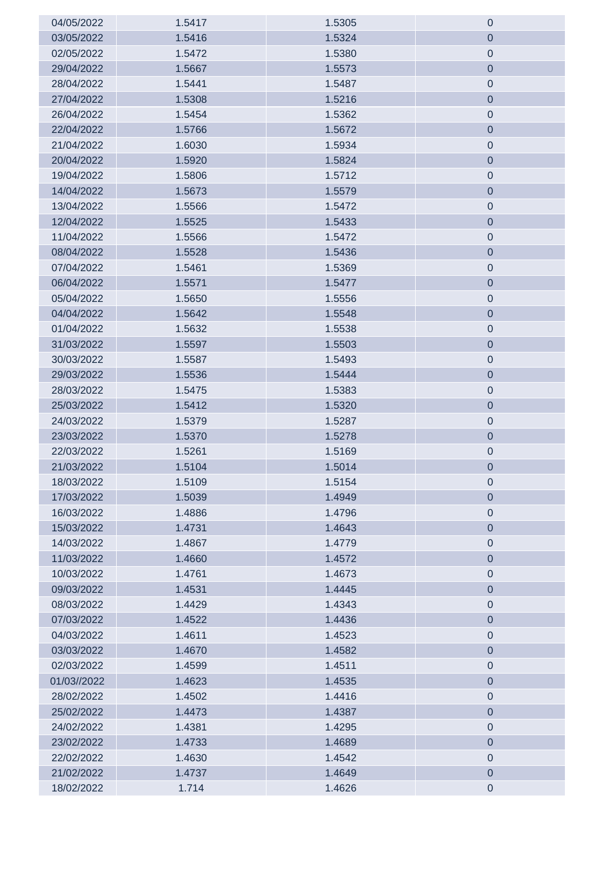| 04/05/2022  | 1.5417 | 1.5305 | $\boldsymbol{0}$ |
|-------------|--------|--------|------------------|
| 03/05/2022  | 1.5416 | 1.5324 | $\boldsymbol{0}$ |
| 02/05/2022  | 1.5472 | 1.5380 | $\mathbf 0$      |
| 29/04/2022  | 1.5667 | 1.5573 | $\mathbf 0$      |
| 28/04/2022  | 1.5441 | 1.5487 | $\mathbf 0$      |
| 27/04/2022  | 1.5308 | 1.5216 | $\mathbf 0$      |
| 26/04/2022  | 1.5454 | 1.5362 | $\mathbf 0$      |
| 22/04/2022  | 1.5766 | 1.5672 | $\mathbf 0$      |
| 21/04/2022  | 1.6030 | 1.5934 | $\mathbf 0$      |
| 20/04/2022  | 1.5920 | 1.5824 | $\mathbf 0$      |
| 19/04/2022  | 1.5806 | 1.5712 | $\mathbf 0$      |
| 14/04/2022  | 1.5673 | 1.5579 | $\mathbf 0$      |
| 13/04/2022  | 1.5566 | 1.5472 | $\mathbf 0$      |
| 12/04/2022  | 1.5525 | 1.5433 | $\mathbf 0$      |
| 11/04/2022  | 1.5566 | 1.5472 | $\mathbf 0$      |
| 08/04/2022  | 1.5528 | 1.5436 | $\mathbf 0$      |
| 07/04/2022  | 1.5461 | 1.5369 | $\mathbf 0$      |
| 06/04/2022  | 1.5571 | 1.5477 | $\mathbf 0$      |
| 05/04/2022  | 1.5650 | 1.5556 | $\boldsymbol{0}$ |
| 04/04/2022  | 1.5642 | 1.5548 | $\mathbf 0$      |
| 01/04/2022  | 1.5632 | 1.5538 | $\mathbf 0$      |
| 31/03/2022  | 1.5597 | 1.5503 | $\mathbf 0$      |
| 30/03/2022  | 1.5587 | 1.5493 | $\boldsymbol{0}$ |
| 29/03/2022  | 1.5536 | 1.5444 | $\mathbf 0$      |
| 28/03/2022  | 1.5475 | 1.5383 | $\boldsymbol{0}$ |
| 25/03/2022  | 1.5412 | 1.5320 | $\mathbf 0$      |
| 24/03/2022  | 1.5379 | 1.5287 | $\boldsymbol{0}$ |
| 23/03/2022  | 1.5370 | 1.5278 | $\mathbf 0$      |
| 22/03/2022  | 1.5261 | 1.5169 | $\mathbf 0$      |
| 21/03/2022  | 1.5104 | 1.5014 | $\mathbf 0$      |
| 18/03/2022  | 1.5109 | 1.5154 | $\mathbf 0$      |
| 17/03/2022  | 1.5039 | 1.4949 | $\mathbf 0$      |
| 16/03/2022  | 1.4886 | 1.4796 | $\mathbf 0$      |
| 15/03/2022  | 1.4731 | 1.4643 | $\mathbf 0$      |
| 14/03/2022  | 1.4867 | 1.4779 | $\mathbf 0$      |
| 11/03/2022  | 1.4660 | 1.4572 | $\mathbf 0$      |
| 10/03/2022  | 1.4761 | 1.4673 | $\mathbf 0$      |
| 09/03/2022  | 1.4531 | 1.4445 | $\mathbf 0$      |
| 08/03/2022  | 1.4429 | 1.4343 | $\mathbf 0$      |
| 07/03/2022  | 1.4522 | 1.4436 | $\mathbf 0$      |
| 04/03/2022  | 1.4611 | 1.4523 | $\mathbf 0$      |
| 03/03/2022  | 1.4670 | 1.4582 | $\mathbf 0$      |
| 02/03/2022  | 1.4599 | 1.4511 | $\mathbf 0$      |
| 01/03//2022 | 1.4623 | 1.4535 | $\mathbf 0$      |
| 28/02/2022  | 1.4502 | 1.4416 | $\mathbf 0$      |
| 25/02/2022  | 1.4473 | 1.4387 | $\overline{0}$   |
| 24/02/2022  | 1.4381 | 1.4295 | $\mathbf 0$      |
| 23/02/2022  | 1.4733 | 1.4689 | $\mathbf 0$      |
| 22/02/2022  | 1.4630 | 1.4542 | $\mathbf 0$      |
| 21/02/2022  | 1.4737 | 1.4649 | $\pmb{0}$        |
| 18/02/2022  | 1.714  | 1.4626 | $\pmb{0}$        |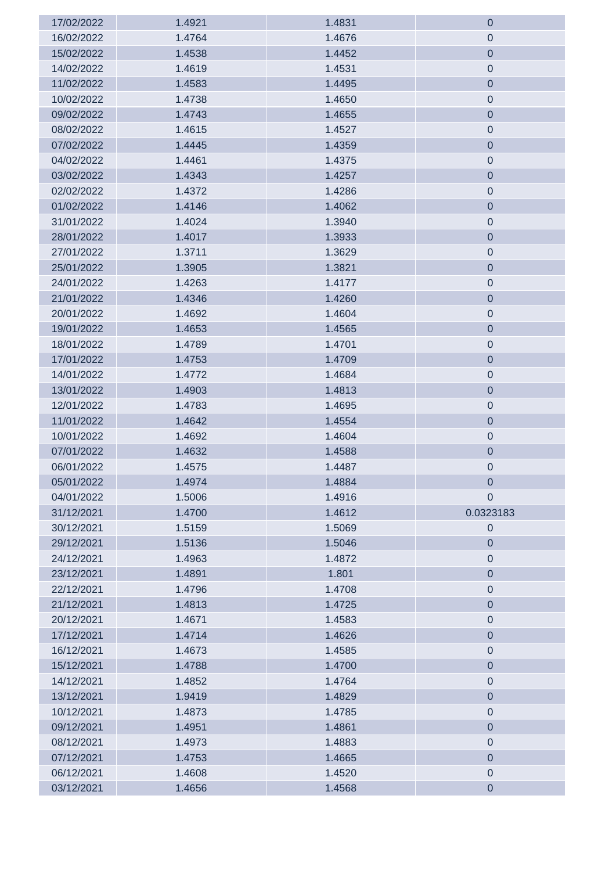| 17/02/2022 | 1.4921 | 1.4831 | $\mathbf 0$      |
|------------|--------|--------|------------------|
| 16/02/2022 | 1.4764 | 1.4676 | $\pmb{0}$        |
| 15/02/2022 | 1.4538 | 1.4452 | $\mathbf 0$      |
| 14/02/2022 | 1.4619 | 1.4531 | $\boldsymbol{0}$ |
| 11/02/2022 | 1.4583 | 1.4495 | $\mathbf 0$      |
| 10/02/2022 | 1.4738 | 1.4650 | $\boldsymbol{0}$ |
| 09/02/2022 | 1.4743 | 1.4655 | $\mathbf 0$      |
| 08/02/2022 | 1.4615 | 1.4527 | $\boldsymbol{0}$ |
| 07/02/2022 | 1.4445 | 1.4359 | $\mathbf 0$      |
| 04/02/2022 | 1.4461 | 1.4375 | $\boldsymbol{0}$ |
| 03/02/2022 | 1.4343 | 1.4257 | $\mathbf 0$      |
| 02/02/2022 | 1.4372 | 1.4286 | $\boldsymbol{0}$ |
| 01/02/2022 | 1.4146 | 1.4062 | $\mathbf 0$      |
| 31/01/2022 | 1.4024 | 1.3940 | $\mathbf 0$      |
| 28/01/2022 | 1.4017 | 1.3933 | $\mathbf 0$      |
| 27/01/2022 | 1.3711 | 1.3629 | $\boldsymbol{0}$ |
| 25/01/2022 | 1.3905 | 1.3821 | $\mathbf 0$      |
| 24/01/2022 | 1.4263 | 1.4177 | $\mathbf 0$      |
| 21/01/2022 | 1.4346 | 1.4260 | $\mathbf 0$      |
| 20/01/2022 | 1.4692 | 1.4604 | $\mathbf 0$      |
| 19/01/2022 | 1.4653 | 1.4565 | $\mathbf 0$      |
| 18/01/2022 | 1.4789 | 1.4701 | $\mathbf 0$      |
| 17/01/2022 | 1.4753 | 1.4709 | $\mathbf 0$      |
| 14/01/2022 | 1.4772 | 1.4684 | $\mathbf 0$      |
| 13/01/2022 | 1.4903 | 1.4813 | $\mathbf 0$      |
| 12/01/2022 | 1.4783 | 1.4695 | $\mathbf 0$      |
| 11/01/2022 | 1.4642 | 1.4554 | $\mathbf 0$      |
| 10/01/2022 | 1.4692 | 1.4604 | $\boldsymbol{0}$ |
| 07/01/2022 | 1.4632 | 1.4588 | $\mathbf 0$      |
| 06/01/2022 | 1.4575 | 1.4487 | $\mathbf 0$      |
| 05/01/2022 | 1.4974 | 1.4884 | $\mathbf 0$      |
| 04/01/2022 | 1.5006 | 1.4916 | $\boldsymbol{0}$ |
| 31/12/2021 | 1.4700 | 1.4612 | 0.0323183        |
| 30/12/2021 | 1.5159 | 1.5069 | $\boldsymbol{0}$ |
| 29/12/2021 | 1.5136 | 1.5046 | $\mathbf 0$      |
| 24/12/2021 | 1.4963 | 1.4872 | $\boldsymbol{0}$ |
| 23/12/2021 | 1.4891 | 1.801  | $\mathbf 0$      |
| 22/12/2021 | 1.4796 | 1.4708 | $\boldsymbol{0}$ |
| 21/12/2021 | 1.4813 | 1.4725 | $\mathbf 0$      |
| 20/12/2021 | 1.4671 | 1.4583 | $\boldsymbol{0}$ |
| 17/12/2021 | 1.4714 | 1.4626 | $\mathbf 0$      |
| 16/12/2021 | 1.4673 | 1.4585 | $\boldsymbol{0}$ |
| 15/12/2021 | 1.4788 | 1.4700 | $\mathbf 0$      |
| 14/12/2021 | 1.4852 | 1.4764 | $\boldsymbol{0}$ |
| 13/12/2021 | 1.9419 | 1.4829 | $\mathbf 0$      |
| 10/12/2021 | 1.4873 | 1.4785 | $\boldsymbol{0}$ |
| 09/12/2021 | 1.4951 | 1.4861 | $\mathbf 0$      |
| 08/12/2021 | 1.4973 | 1.4883 | $\boldsymbol{0}$ |
| 07/12/2021 | 1.4753 | 1.4665 | $\boldsymbol{0}$ |
| 06/12/2021 | 1.4608 | 1.4520 | $\mathbf 0$      |
| 03/12/2021 | 1.4656 | 1.4568 | $\boldsymbol{0}$ |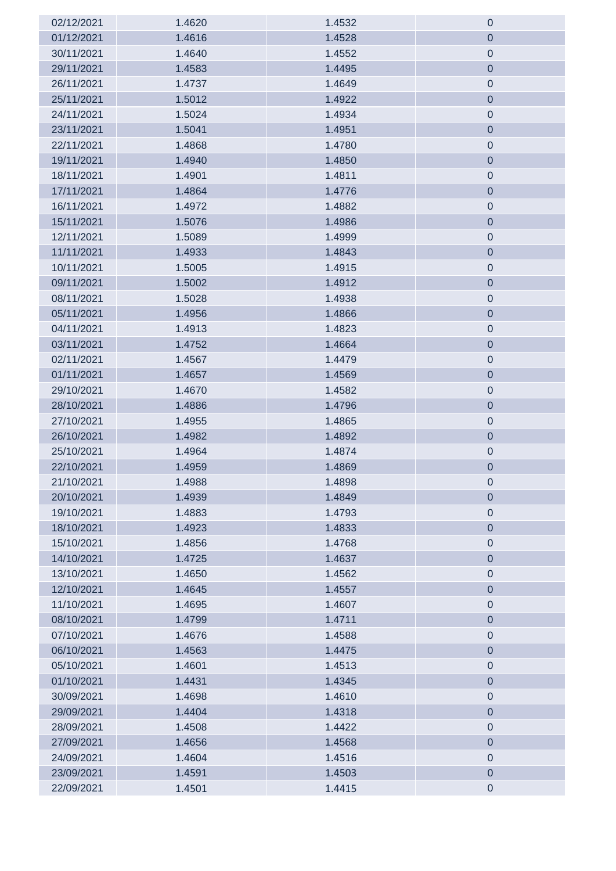| 02/12/2021 | 1.4620 | 1.4532 | $\boldsymbol{0}$ |
|------------|--------|--------|------------------|
| 01/12/2021 | 1.4616 | 1.4528 | $\boldsymbol{0}$ |
| 30/11/2021 | 1.4640 | 1.4552 | $\mathbf 0$      |
| 29/11/2021 | 1.4583 | 1.4495 | $\mathbf 0$      |
| 26/11/2021 | 1.4737 | 1.4649 | $\mathbf 0$      |
| 25/11/2021 | 1.5012 | 1.4922 | $\boldsymbol{0}$ |
| 24/11/2021 | 1.5024 | 1.4934 | $\mathbf 0$      |
| 23/11/2021 | 1.5041 | 1.4951 | $\mathbf 0$      |
| 22/11/2021 | 1.4868 | 1.4780 | $\mathbf 0$      |
| 19/11/2021 | 1.4940 | 1.4850 | $\mathbf 0$      |
| 18/11/2021 | 1.4901 | 1.4811 | $\mathbf 0$      |
| 17/11/2021 | 1.4864 | 1.4776 | $\mathbf 0$      |
| 16/11/2021 | 1.4972 | 1.4882 | $\mathbf 0$      |
| 15/11/2021 | 1.5076 | 1.4986 | $\mathbf 0$      |
| 12/11/2021 | 1.5089 | 1.4999 | $\mathbf 0$      |
| 11/11/2021 | 1.4933 | 1.4843 | $\mathbf 0$      |
| 10/11/2021 | 1.5005 | 1.4915 | $\mathbf 0$      |
| 09/11/2021 | 1.5002 | 1.4912 | $\mathbf 0$      |
| 08/11/2021 | 1.5028 | 1.4938 | $\boldsymbol{0}$ |
| 05/11/2021 | 1.4956 | 1.4866 | $\mathbf 0$      |
| 04/11/2021 | 1.4913 | 1.4823 | $\boldsymbol{0}$ |
| 03/11/2021 | 1.4752 | 1.4664 | $\mathbf 0$      |
| 02/11/2021 | 1.4567 | 1.4479 | $\boldsymbol{0}$ |
| 01/11/2021 | 1.4657 | 1.4569 | $\overline{0}$   |
| 29/10/2021 | 1.4670 | 1.4582 | $\boldsymbol{0}$ |
| 28/10/2021 | 1.4886 | 1.4796 | $\mathbf 0$      |
| 27/10/2021 | 1.4955 | 1.4865 | $\boldsymbol{0}$ |
| 26/10/2021 | 1.4982 | 1.4892 | $\mathbf 0$      |
| 25/10/2021 | 1.4964 | 1.4874 | $\mathbf 0$      |
| 22/10/2021 | 1.4959 | 1.4869 | $\mathbf 0$      |
| 21/10/2021 | 1.4988 | 1.4898 | $\boldsymbol{0}$ |
| 20/10/2021 | 1.4939 | 1.4849 | $\mathbf 0$      |
| 19/10/2021 | 1.4883 | 1.4793 | $\mathbf 0$      |
| 18/10/2021 | 1.4923 | 1.4833 | $\mathbf 0$      |
| 15/10/2021 | 1.4856 | 1.4768 | $\mathbf 0$      |
| 14/10/2021 | 1.4725 | 1.4637 | $\mathbf 0$      |
| 13/10/2021 | 1.4650 | 1.4562 | $\mathbf 0$      |
| 12/10/2021 | 1.4645 | 1.4557 | $\mathbf 0$      |
| 11/10/2021 | 1.4695 | 1.4607 | $\mathbf 0$      |
| 08/10/2021 | 1.4799 | 1.4711 | $\mathbf 0$      |
| 07/10/2021 | 1.4676 | 1.4588 | $\mathbf 0$      |
| 06/10/2021 | 1.4563 | 1.4475 | $\mathbf 0$      |
| 05/10/2021 | 1.4601 | 1.4513 | $\mathbf 0$      |
| 01/10/2021 | 1.4431 | 1.4345 | $\mathbf 0$      |
| 30/09/2021 | 1.4698 | 1.4610 | $\mathbf 0$      |
| 29/09/2021 | 1.4404 | 1.4318 | $\overline{0}$   |
| 28/09/2021 | 1.4508 | 1.4422 | $\mathbf 0$      |
| 27/09/2021 | 1.4656 | 1.4568 | $\mathbf 0$      |
| 24/09/2021 | 1.4604 | 1.4516 | $\mathbf 0$      |
| 23/09/2021 | 1.4591 | 1.4503 | $\mathbf 0$      |
| 22/09/2021 | 1.4501 | 1.4415 | $\pmb{0}$        |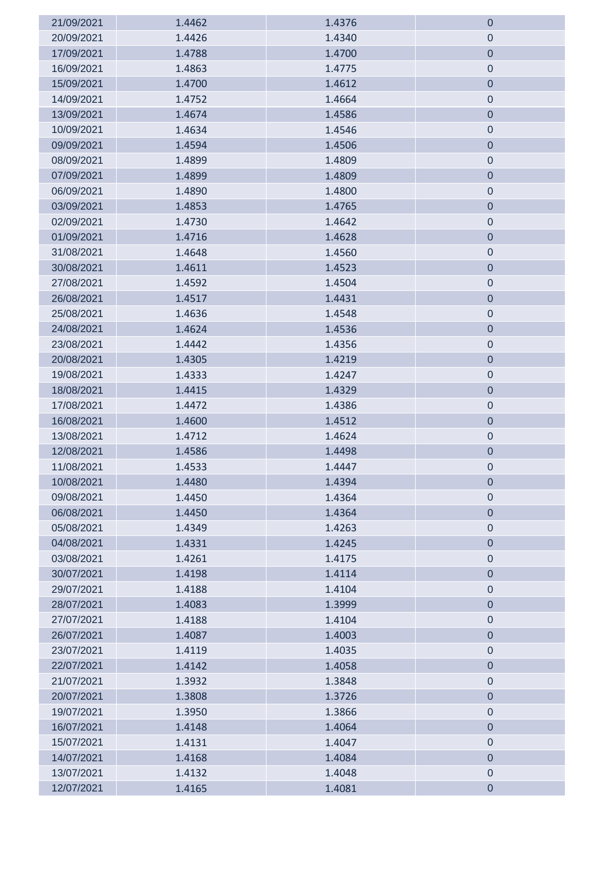| 21/09/2021 | 1.4462 | 1.4376 | $\theta$         |
|------------|--------|--------|------------------|
| 20/09/2021 | 1.4426 | 1.4340 | $\mathbf 0$      |
| 17/09/2021 | 1.4788 | 1.4700 | $\pmb{0}$        |
| 16/09/2021 | 1.4863 | 1.4775 | $\pmb{0}$        |
| 15/09/2021 | 1.4700 | 1.4612 | $\pmb{0}$        |
| 14/09/2021 | 1.4752 | 1.4664 | $\mathbf 0$      |
| 13/09/2021 | 1.4674 | 1.4586 | $\mathbf 0$      |
| 10/09/2021 | 1.4634 | 1.4546 | $\mathbf 0$      |
| 09/09/2021 | 1.4594 | 1.4506 | $\pmb{0}$        |
| 08/09/2021 | 1.4899 | 1.4809 | $\mathbf 0$      |
| 07/09/2021 | 1.4899 | 1.4809 | $\pmb{0}$        |
| 06/09/2021 | 1.4890 | 1.4800 | $\theta$         |
| 03/09/2021 | 1.4853 | 1.4765 | $\boldsymbol{0}$ |
| 02/09/2021 | 1.4730 | 1.4642 | $\boldsymbol{0}$ |
| 01/09/2021 | 1.4716 | 1.4628 | $\boldsymbol{0}$ |
| 31/08/2021 | 1.4648 | 1.4560 | $\mathbf 0$      |
| 30/08/2021 | 1.4611 | 1.4523 | $\boldsymbol{0}$ |
| 27/08/2021 | 1.4592 | 1.4504 | $\mathbf 0$      |
| 26/08/2021 | 1.4517 | 1.4431 | $\boldsymbol{0}$ |
| 25/08/2021 | 1.4636 | 1.4548 | $\mathbf 0$      |
| 24/08/2021 | 1.4624 | 1.4536 | $\pmb{0}$        |
| 23/08/2021 | 1.4442 | 1.4356 | $\mathbf 0$      |
| 20/08/2021 | 1.4305 | 1.4219 | $\pmb{0}$        |
| 19/08/2021 | 1.4333 | 1.4247 | $\mathbf 0$      |
| 18/08/2021 | 1.4415 | 1.4329 | $\mathbf 0$      |
| 17/08/2021 | 1.4472 | 1.4386 | $\mathbf 0$      |
| 16/08/2021 | 1.4600 | 1.4512 | $\mathbf 0$      |
| 13/08/2021 | 1.4712 | 1.4624 | $\boldsymbol{0}$ |
| 12/08/2021 | 1.4586 | 1.4498 | $\pmb{0}$        |
| 11/08/2021 | 1.4533 | 1.4447 | $\mathbf 0$      |
| 10/08/2021 | 1.4480 | 1.4394 | $\mathbf 0$      |
| 09/08/2021 | 1.4450 | 1.4364 | $\pmb{0}$        |
| 06/08/2021 | 1.4450 | 1.4364 | $\pmb{0}$        |
| 05/08/2021 | 1.4349 | 1.4263 | $\pmb{0}$        |
| 04/08/2021 | 1.4331 | 1.4245 | $\boldsymbol{0}$ |
| 03/08/2021 | 1.4261 | 1.4175 | $\pmb{0}$        |
| 30/07/2021 | 1.4198 | 1.4114 | $\boldsymbol{0}$ |
| 29/07/2021 | 1.4188 | 1.4104 | $\pmb{0}$        |
| 28/07/2021 | 1.4083 | 1.3999 | $\mathbf 0$      |
| 27/07/2021 | 1.4188 | 1.4104 | $\mathbf 0$      |
| 26/07/2021 | 1.4087 | 1.4003 | $\boldsymbol{0}$ |
| 23/07/2021 | 1.4119 | 1.4035 | $\mathbf 0$      |
| 22/07/2021 | 1.4142 | 1.4058 | $\boldsymbol{0}$ |
| 21/07/2021 | 1.3932 | 1.3848 | $\pmb{0}$        |
| 20/07/2021 | 1.3808 | 1.3726 | $\boldsymbol{0}$ |
| 19/07/2021 | 1.3950 | 1.3866 | $\boldsymbol{0}$ |
| 16/07/2021 | 1.4148 | 1.4064 | $\boldsymbol{0}$ |
| 15/07/2021 | 1.4131 | 1.4047 | $\boldsymbol{0}$ |
| 14/07/2021 | 1.4168 | 1.4084 | $\pmb{0}$        |
| 13/07/2021 | 1.4132 | 1.4048 | $\mathbf 0$      |
| 12/07/2021 | 1.4165 | 1.4081 | $\pmb{0}$        |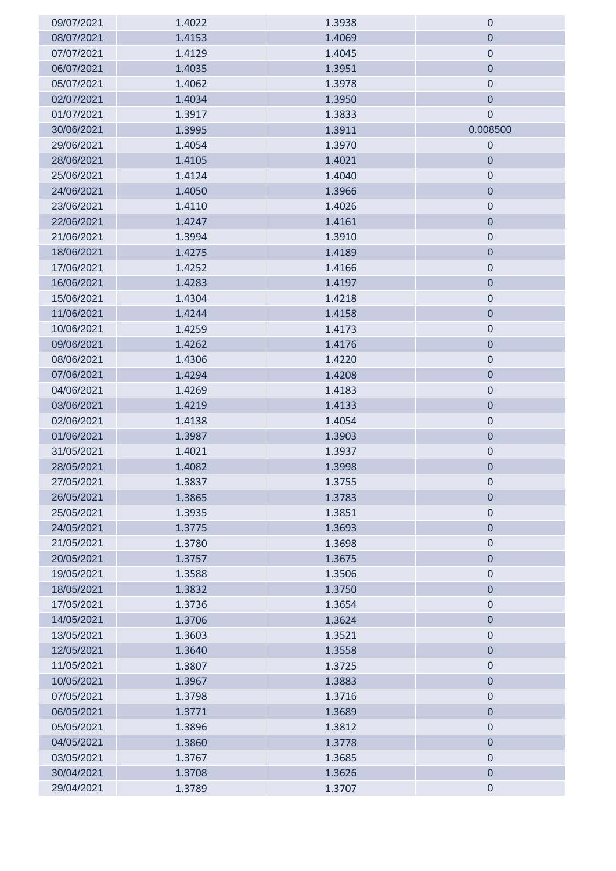| 09/07/2021 | 1.4022 | 1.3938 | $\theta$         |
|------------|--------|--------|------------------|
| 08/07/2021 | 1.4153 | 1.4069 | $\theta$         |
| 07/07/2021 | 1.4129 | 1.4045 | $\mathbf 0$      |
| 06/07/2021 | 1.4035 | 1.3951 | $\pmb{0}$        |
| 05/07/2021 | 1.4062 | 1.3978 | $\mathbf 0$      |
| 02/07/2021 | 1.4034 | 1.3950 | $\theta$         |
| 01/07/2021 | 1.3917 | 1.3833 | $\mathbf 0$      |
| 30/06/2021 | 1.3995 | 1.3911 | 0.008500         |
| 29/06/2021 | 1.4054 | 1.3970 | $\mathbf 0$      |
| 28/06/2021 | 1.4105 | 1.4021 | $\theta$         |
| 25/06/2021 | 1.4124 | 1.4040 | $\mathbf 0$      |
| 24/06/2021 | 1.4050 | 1.3966 | $\mathbf 0$      |
| 23/06/2021 | 1.4110 | 1.4026 | $\boldsymbol{0}$ |
| 22/06/2021 | 1.4247 | 1.4161 | $\pmb{0}$        |
| 21/06/2021 | 1.3994 | 1.3910 | $\boldsymbol{0}$ |
| 18/06/2021 | 1.4275 | 1.4189 | $\pmb{0}$        |
| 17/06/2021 | 1.4252 | 1.4166 | $\boldsymbol{0}$ |
| 16/06/2021 | 1.4283 | 1.4197 | $\pmb{0}$        |
| 15/06/2021 | 1.4304 | 1.4218 | $\pmb{0}$        |
| 11/06/2021 | 1.4244 | 1.4158 | $\pmb{0}$        |
| 10/06/2021 | 1.4259 | 1.4173 | $\pmb{0}$        |
| 09/06/2021 | 1.4262 | 1.4176 | $\mathbf 0$      |
| 08/06/2021 | 1.4306 | 1.4220 | $\mathbf 0$      |
| 07/06/2021 | 1.4294 | 1.4208 | $\pmb{0}$        |
| 04/06/2021 | 1.4269 | 1.4183 | $\mathbf 0$      |
| 03/06/2021 | 1.4219 | 1.4133 | $\boldsymbol{0}$ |
| 02/06/2021 | 1.4138 | 1.4054 | $\theta$         |
| 01/06/2021 | 1.3987 | 1.3903 | $\boldsymbol{0}$ |
| 31/05/2021 | 1.4021 | 1.3937 | $\boldsymbol{0}$ |
| 28/05/2021 | 1.4082 | 1.3998 | $\mathbf 0$      |
| 27/05/2021 | 1.3837 | 1.3755 | $\mathbf 0$      |
| 26/05/2021 | 1.3865 | 1.3783 | $\pmb{0}$        |
| 25/05/2021 | 1.3935 | 1.3851 | $\boldsymbol{0}$ |
| 24/05/2021 | 1.3775 | 1.3693 | $\boldsymbol{0}$ |
| 21/05/2021 | 1.3780 | 1.3698 | $\mathbf 0$      |
| 20/05/2021 | 1.3757 | 1.3675 | $\boldsymbol{0}$ |
| 19/05/2021 | 1.3588 | 1.3506 | $\mathbf 0$      |
| 18/05/2021 | 1.3832 | 1.3750 | $\boldsymbol{0}$ |
| 17/05/2021 | 1.3736 | 1.3654 | $\mathbf 0$      |
| 14/05/2021 | 1.3706 | 1.3624 | $\mathbf 0$      |
| 13/05/2021 | 1.3603 | 1.3521 | $\boldsymbol{0}$ |
| 12/05/2021 | 1.3640 | 1.3558 | $\mathbf 0$      |
| 11/05/2021 | 1.3807 | 1.3725 | $\boldsymbol{0}$ |
| 10/05/2021 | 1.3967 | 1.3883 | $\boldsymbol{0}$ |
| 07/05/2021 | 1.3798 | 1.3716 | $\boldsymbol{0}$ |
| 06/05/2021 | 1.3771 | 1.3689 | $\boldsymbol{0}$ |
| 05/05/2021 | 1.3896 | 1.3812 | $\pmb{0}$        |
| 04/05/2021 | 1.3860 | 1.3778 | $\boldsymbol{0}$ |
| 03/05/2021 | 1.3767 | 1.3685 | $\pmb{0}$        |
| 30/04/2021 | 1.3708 | 1.3626 | $\pmb{0}$        |
| 29/04/2021 | 1.3789 | 1.3707 | $\pmb{0}$        |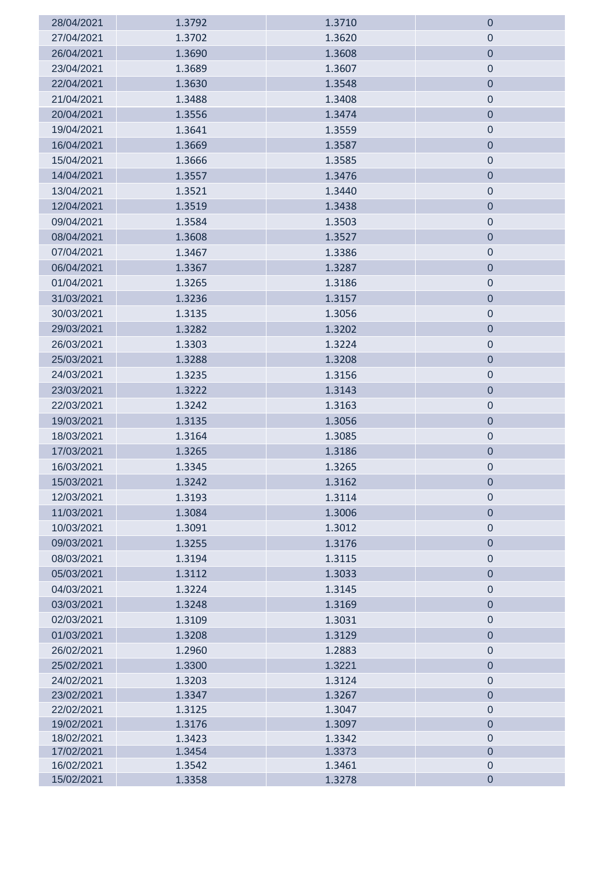| 28/04/2021               | 1.3792           | 1.3710           | $\mathbf 0$                     |
|--------------------------|------------------|------------------|---------------------------------|
| 27/04/2021               | 1.3702           | 1.3620           | $\boldsymbol{0}$                |
| 26/04/2021               | 1.3690           | 1.3608           | $\mathbf 0$                     |
| 23/04/2021               | 1.3689           | 1.3607           | $\boldsymbol{0}$                |
| 22/04/2021               | 1.3630           | 1.3548           | $\boldsymbol{0}$                |
| 21/04/2021               | 1.3488           | 1.3408           | $\boldsymbol{0}$                |
| 20/04/2021               | 1.3556           | 1.3474           | $\boldsymbol{0}$                |
| 19/04/2021               | 1.3641           | 1.3559           | $\boldsymbol{0}$                |
| 16/04/2021               | 1.3669           | 1.3587           | $\mathbf 0$                     |
| 15/04/2021               | 1.3666           | 1.3585           | $\theta$                        |
| 14/04/2021               | 1.3557           | 1.3476           | $\mathbf 0$                     |
| 13/04/2021               | 1.3521           | 1.3440           | $\mathbf 0$                     |
| 12/04/2021               | 1.3519           | 1.3438           | $\mathbf 0$                     |
| 09/04/2021               | 1.3584           | 1.3503           | $\boldsymbol{0}$                |
| 08/04/2021               | 1.3608           | 1.3527           | $\mathbf 0$                     |
| 07/04/2021               | 1.3467           | 1.3386           | $\boldsymbol{0}$                |
| 06/04/2021               | 1.3367           | 1.3287           | $\mathbf 0$                     |
| 01/04/2021               | 1.3265           | 1.3186           | $\boldsymbol{0}$                |
| 31/03/2021               | 1.3236           | 1.3157           | $\mathbf 0$                     |
| 30/03/2021               | 1.3135           | 1.3056           | $\pmb{0}$                       |
| 29/03/2021               | 1.3282           | 1.3202           | $\mathbf 0$                     |
| 26/03/2021               | 1.3303           | 1.3224           | $\pmb{0}$                       |
| 25/03/2021               | 1.3288           | 1.3208           | $\theta$                        |
| 24/03/2021               | 1.3235           | 1.3156           | $\pmb{0}$                       |
| 23/03/2021               | 1.3222           | 1.3143           | $\boldsymbol{0}$                |
| 22/03/2021               | 1.3242           | 1.3163           | $\mathbf 0$                     |
| 19/03/2021               | 1.3135           | 1.3056           | $\mathbf 0$                     |
| 18/03/2021               | 1.3164           | 1.3085           | $\boldsymbol{0}$                |
| 17/03/2021               | 1.3265           | 1.3186           | $\mathbf 0$                     |
| 16/03/2021               | 1.3345           | 1.3265           | $\mathbf 0$                     |
| 15/03/2021               | 1.3242           | 1.3162           | $\cup$                          |
| 12/03/2021               | 1.3193           | 1.3114           | $\mathbf 0$                     |
| 11/03/2021               | 1.3084           | 1.3006           | $\mathbf 0$                     |
| 10/03/2021               | 1.3091           | 1.3012           | $\boldsymbol{0}$                |
| 09/03/2021               | 1.3255           | 1.3176           | $\mathbf 0$                     |
| 08/03/2021               | 1.3194           | 1.3115           | $\boldsymbol{0}$                |
| 05/03/2021               | 1.3112           | 1.3033           | $\mathbf 0$                     |
| 04/03/2021               | 1.3224           | 1.3145           | $\boldsymbol{0}$                |
| 03/03/2021               | 1.3248           | 1.3169           | $\mathbf 0$                     |
| 02/03/2021               | 1.3109           | 1.3031           | $\boldsymbol{0}$                |
| 01/03/2021               | 1.3208           | 1.3129           | $\overline{0}$                  |
| 26/02/2021               | 1.2960           | 1.2883           | $\boldsymbol{0}$                |
| 25/02/2021               | 1.3300           | 1.3221           | $\overline{0}$                  |
| 24/02/2021               | 1.3203           | 1.3124           | $\boldsymbol{0}$                |
| 23/02/2021               | 1.3347           | 1.3267           | $\mathbf 0$                     |
| 22/02/2021               | 1.3125           | 1.3047           | $\mathbf 0$                     |
| 19/02/2021               | 1.3176           | 1.3097           | $\mathbf 0$                     |
| 18/02/2021<br>17/02/2021 | 1.3423<br>1.3454 | 1.3342<br>1.3373 | $\boldsymbol{0}$<br>$\mathbf 0$ |
| 16/02/2021               | 1.3542           | 1.3461           | $\boldsymbol{0}$                |
| 15/02/2021               | 1.3358           | 1.3278           | $\mathbf 0$                     |
|                          |                  |                  |                                 |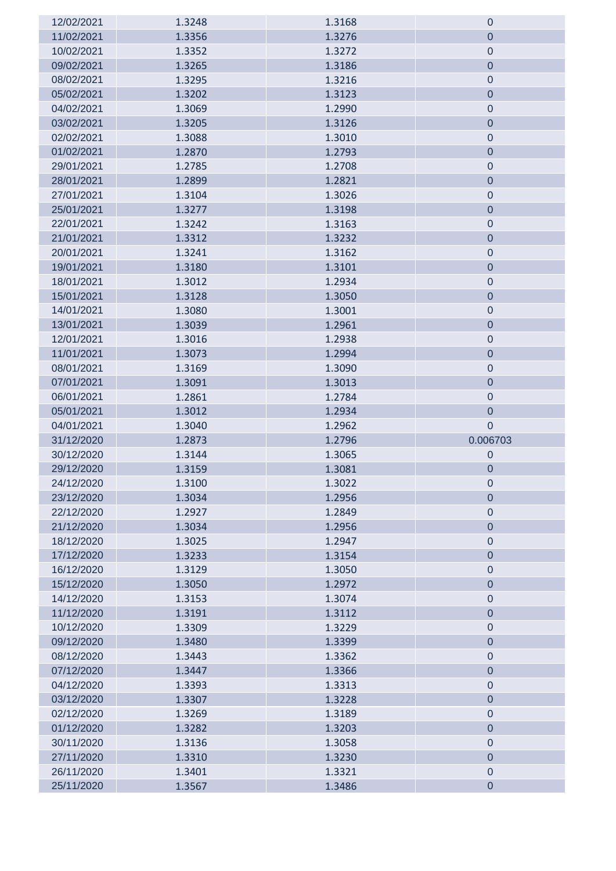| 12/02/2021 | 1.3248 | 1.3168 | $\theta$         |
|------------|--------|--------|------------------|
| 11/02/2021 | 1.3356 | 1.3276 | $\mathbf 0$      |
| 10/02/2021 | 1.3352 | 1.3272 | $\boldsymbol{0}$ |
| 09/02/2021 | 1.3265 | 1.3186 | $\mathbf 0$      |
| 08/02/2021 | 1.3295 | 1.3216 | $\theta$         |
| 05/02/2021 | 1.3202 | 1.3123 | $\boldsymbol{0}$ |
| 04/02/2021 | 1.3069 | 1.2990 | $\mathbf 0$      |
| 03/02/2021 | 1.3205 | 1.3126 | $\boldsymbol{0}$ |
| 02/02/2021 | 1.3088 | 1.3010 | $\pmb{0}$        |
| 01/02/2021 | 1.2870 | 1.2793 | $\mathbf 0$      |
| 29/01/2021 | 1.2785 | 1.2708 | $\boldsymbol{0}$ |
| 28/01/2021 | 1.2899 | 1.2821 | $\boldsymbol{0}$ |
| 27/01/2021 | 1.3104 | 1.3026 | $\mathbf 0$      |
| 25/01/2021 | 1.3277 | 1.3198 | $\boldsymbol{0}$ |
| 22/01/2021 | 1.3242 | 1.3163 | $\pmb{0}$        |
| 21/01/2021 | 1.3312 | 1.3232 | $\mathbf 0$      |
| 20/01/2021 | 1.3241 | 1.3162 | $\boldsymbol{0}$ |
| 19/01/2021 | 1.3180 | 1.3101 | $\pmb{0}$        |
| 18/01/2021 | 1.3012 | 1.2934 | $\boldsymbol{0}$ |
| 15/01/2021 | 1.3128 | 1.3050 | $\boldsymbol{0}$ |
| 14/01/2021 | 1.3080 | 1.3001 | $\theta$         |
| 13/01/2021 | 1.3039 | 1.2961 | $\boldsymbol{0}$ |
| 12/01/2021 | 1.3016 | 1.2938 | $\boldsymbol{0}$ |
| 11/01/2021 | 1.3073 | 1.2994 | $\theta$         |
| 08/01/2021 | 1.3169 | 1.3090 | $\boldsymbol{0}$ |
| 07/01/2021 | 1.3091 | 1.3013 | $\boldsymbol{0}$ |
| 06/01/2021 | 1.2861 | 1.2784 | $\mathbf 0$      |
| 05/01/2021 | 1.3012 | 1.2934 | $\boldsymbol{0}$ |
| 04/01/2021 | 1.3040 | 1.2962 | $\boldsymbol{0}$ |
| 31/12/2020 | 1.2873 | 1.2796 | 0.006703         |
| 30/12/2020 | 1.3144 | 1.3065 | $\mathbf 0$      |
| 29/12/2020 | 1.3159 | 1.3081 | $\mathbf 0$      |
| 24/12/2020 | 1.3100 | 1.3022 | 0                |
| 23/12/2020 | 1.3034 | 1.2956 | $\theta$         |
| 22/12/2020 | 1.2927 | 1.2849 | $\boldsymbol{0}$ |
| 21/12/2020 | 1.3034 | 1.2956 | $\boldsymbol{0}$ |
| 18/12/2020 | 1.3025 | 1.2947 | $\boldsymbol{0}$ |
| 17/12/2020 | 1.3233 | 1.3154 | $\mathbf 0$      |
| 16/12/2020 | 1.3129 | 1.3050 | $\mathbf 0$      |
| 15/12/2020 | 1.3050 | 1.2972 | $\boldsymbol{0}$ |
| 14/12/2020 | 1.3153 | 1.3074 | $\mathbf 0$      |
| 11/12/2020 | 1.3191 | 1.3112 | $\boldsymbol{0}$ |
| 10/12/2020 | 1.3309 | 1.3229 | $\pmb{0}$        |
| 09/12/2020 | 1.3480 | 1.3399 | $\overline{0}$   |
| 08/12/2020 | 1.3443 | 1.3362 | $\mathbf 0$      |
| 07/12/2020 | 1.3447 | 1.3366 | $\pmb{0}$        |
| 04/12/2020 | 1.3393 | 1.3313 | $\boldsymbol{0}$ |
| 03/12/2020 | 1.3307 | 1.3228 | $\boldsymbol{0}$ |
| 02/12/2020 | 1.3269 | 1.3189 | $\theta$         |
| 01/12/2020 | 1.3282 | 1.3203 | $\overline{0}$   |
| 30/11/2020 | 1.3136 | 1.3058 | $\mathbf 0$      |
| 27/11/2020 | 1.3310 | 1.3230 | $\pmb{0}$        |
| 26/11/2020 | 1.3401 | 1.3321 | $\boldsymbol{0}$ |
| 25/11/2020 | 1.3567 | 1.3486 | $\pmb{0}$        |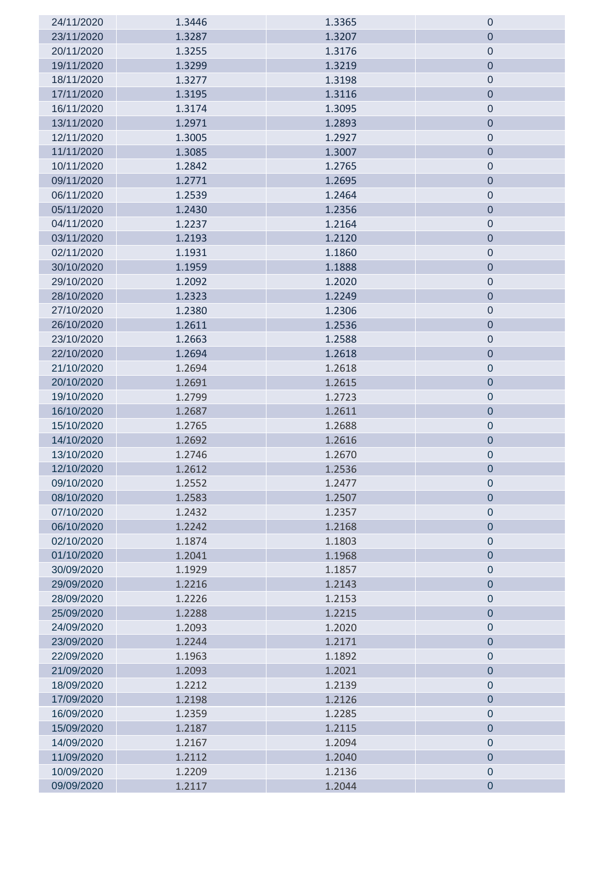| 24/11/2020 | 1.3446 | 1.3365 | $\boldsymbol{0}$ |
|------------|--------|--------|------------------|
| 23/11/2020 | 1.3287 | 1.3207 | $\mathbf 0$      |
| 20/11/2020 | 1.3255 | 1.3176 | $\mathbf 0$      |
| 19/11/2020 | 1.3299 | 1.3219 | $\overline{0}$   |
| 18/11/2020 | 1.3277 | 1.3198 | $\mathbf 0$      |
| 17/11/2020 | 1.3195 | 1.3116 | $\mathbf 0$      |
| 16/11/2020 | 1.3174 | 1.3095 | $\mathbf 0$      |
| 13/11/2020 | 1.2971 | 1.2893 | $\mathbf 0$      |
| 12/11/2020 | 1.3005 | 1.2927 | $\boldsymbol{0}$ |
| 11/11/2020 | 1.3085 | 1.3007 | $\overline{0}$   |
| 10/11/2020 | 1.2842 | 1.2765 | $\mathbf 0$      |
| 09/11/2020 | 1.2771 | 1.2695 | $\mathbf 0$      |
| 06/11/2020 | 1.2539 | 1.2464 | $\mathbf 0$      |
| 05/11/2020 | 1.2430 | 1.2356 | $\mathbf 0$      |
| 04/11/2020 | 1.2237 | 1.2164 | $\boldsymbol{0}$ |
| 03/11/2020 | 1.2193 | 1.2120 | $\mathbf 0$      |
| 02/11/2020 | 1.1931 | 1.1860 | $\mathbf 0$      |
| 30/10/2020 | 1.1959 | 1.1888 | $\mathbf 0$      |
| 29/10/2020 | 1.2092 | 1.2020 | $\mathbf 0$      |
| 28/10/2020 | 1.2323 | 1.2249 | $\mathbf 0$      |
| 27/10/2020 | 1.2380 | 1.2306 | $\boldsymbol{0}$ |
| 26/10/2020 | 1.2611 | 1.2536 | $\mathbf 0$      |
| 23/10/2020 | 1.2663 | 1.2588 | $\mathbf 0$      |
| 22/10/2020 | 1.2694 | 1.2618 | $\mathbf 0$      |
| 21/10/2020 | 1.2694 | 1.2618 | $\mathbf 0$      |
| 20/10/2020 | 1.2691 | 1.2615 | $\pmb{0}$        |
| 19/10/2020 | 1.2799 | 1.2723 | $\mathbf 0$      |
| 16/10/2020 | 1.2687 | 1.2611 | $\mathbf 0$      |
| 15/10/2020 | 1.2765 | 1.2688 | $\mathbf 0$      |
| 14/10/2020 | 1.2692 | 1.2616 | $\mathbf 0$      |
| 13/10/2020 | 1.2746 | 1.2670 | $\pmb{0}$        |
| 12/10/2020 | 1.2612 | 1.2536 | $\mathbf 0$      |
| 09/10/2020 | 1.2552 | 1.2477 | $\mathbf 0$      |
| 08/10/2020 | 1.2583 | 1.2507 | $\mathbf 0$      |
| 07/10/2020 | 1.2432 | 1.2357 | $\mathbf 0$      |
| 06/10/2020 | 1.2242 | 1.2168 | $\overline{0}$   |
| 02/10/2020 | 1.1874 | 1.1803 | $\mathbf 0$      |
| 01/10/2020 | 1.2041 | 1.1968 | $\overline{0}$   |
| 30/09/2020 | 1.1929 | 1.1857 | $\mathbf 0$      |
| 29/09/2020 | 1.2216 | 1.2143 | $\mathbf 0$      |
| 28/09/2020 | 1.2226 | 1.2153 | $\mathbf 0$      |
| 25/09/2020 | 1.2288 | 1.2215 | $\mathbf 0$      |
| 24/09/2020 | 1.2093 | 1.2020 | $\mathbf 0$      |
| 23/09/2020 | 1.2244 | 1.2171 | $\overline{0}$   |
| 22/09/2020 | 1.1963 | 1.1892 | $\mathbf 0$      |
| 21/09/2020 | 1.2093 | 1.2021 | $\mathbf 0$      |
| 18/09/2020 | 1.2212 | 1.2139 | $\mathbf 0$      |
| 17/09/2020 | 1.2198 | 1.2126 | $\mathbf 0$      |
| 16/09/2020 | 1.2359 | 1.2285 | $\mathbf 0$      |
| 15/09/2020 | 1.2187 | 1.2115 | $\overline{0}$   |
| 14/09/2020 | 1.2167 | 1.2094 | $\mathbf 0$      |
| 11/09/2020 | 1.2112 | 1.2040 | $\mathbf 0$      |
| 10/09/2020 | 1.2209 | 1.2136 | $\mathbf 0$      |
| 09/09/2020 | 1.2117 | 1.2044 | $\pmb{0}$        |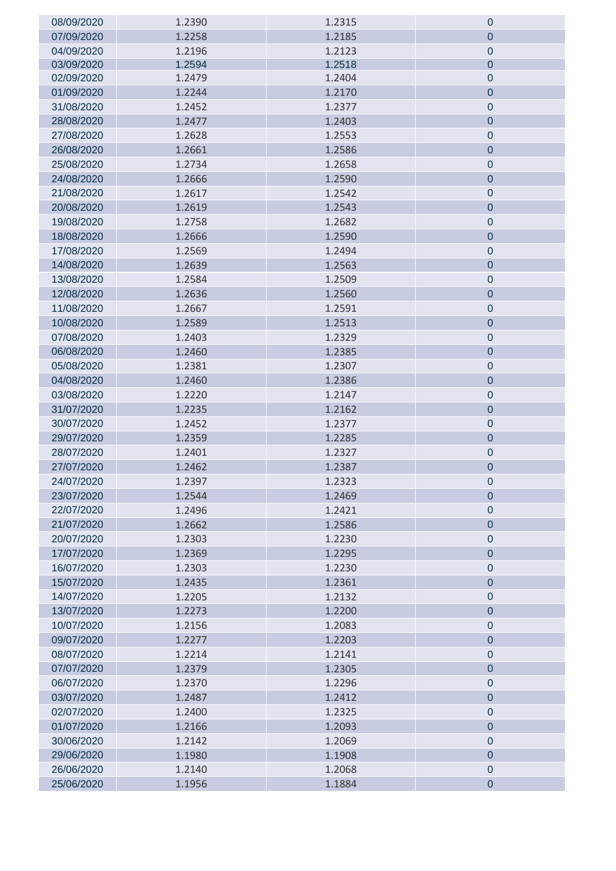| 08/09/2020 | 1.2390 | 1.2315 | $\boldsymbol{0}$ |
|------------|--------|--------|------------------|
| 07/09/2020 | 1.2258 | 1.2185 | $\mathbf 0$      |
| 04/09/2020 | 1.2196 | 1.2123 | $\mathbf 0$      |
| 03/09/2020 | 1.2594 | 1.2518 | $\overline{0}$   |
| 02/09/2020 | 1.2479 | 1.2404 | $\boldsymbol{0}$ |
| 01/09/2020 | 1.2244 | 1.2170 | $\mathbf 0$      |
| 31/08/2020 | 1.2452 | 1.2377 | $\mathbf 0$      |
| 28/08/2020 | 1.2477 | 1.2403 | $\mathbf 0$      |
| 27/08/2020 | 1.2628 | 1.2553 | $\mathbf 0$      |
| 26/08/2020 | 1.2661 | 1.2586 | $\mathbf 0$      |
| 25/08/2020 | 1.2734 | 1.2658 | $\mathbf 0$      |
| 24/08/2020 | 1.2666 | 1.2590 | $\mathbf 0$      |
| 21/08/2020 | 1.2617 | 1.2542 | $\mathbf 0$      |
| 20/08/2020 | 1.2619 | 1.2543 | $\mathbf 0$      |
| 19/08/2020 | 1.2758 | 1.2682 | $\mathbf 0$      |
| 18/08/2020 | 1.2666 | 1.2590 | $\mathbf 0$      |
| 17/08/2020 | 1.2569 | 1.2494 | $\mathbf 0$      |
| 14/08/2020 | 1.2639 | 1.2563 | $\mathbf 0$      |
| 13/08/2020 | 1.2584 | 1.2509 | $\boldsymbol{0}$ |
| 12/08/2020 | 1.2636 | 1.2560 | $\overline{0}$   |
| 11/08/2020 | 1.2667 | 1.2591 | $\mathbf 0$      |
| 10/08/2020 | 1.2589 | 1.2513 | $\mathbf 0$      |
| 07/08/2020 | 1.2403 | 1.2329 | $\mathbf 0$      |
| 06/08/2020 | 1.2460 | 1.2385 | $\pmb{0}$        |
| 05/08/2020 | 1.2381 | 1.2307 | $\mathbf 0$      |
| 04/08/2020 | 1.2460 | 1.2386 | $\overline{0}$   |
| 03/08/2020 | 1.2220 | 1.2147 | $\mathbf 0$      |
| 31/07/2020 | 1.2235 | 1.2162 | $\mathbf 0$      |
| 30/07/2020 | 1.2452 | 1.2377 | $\mathbf 0$      |
| 29/07/2020 | 1.2359 | 1.2285 | $\pmb{0}$        |
| 28/07/2020 | 1.2401 | 1.2327 | $\pmb{0}$        |
| 27/07/2020 | 1.2462 | 1.2387 | $\mathbf 0$      |
| 24/07/2020 | 1.2397 | 1.2323 | $\mathbf 0$      |
| 23/07/2020 | 1.2544 | 1.2469 | $\mathbf 0$      |
| 22/07/2020 | 1.2496 | 1.2421 | $\mathbf 0$      |
| 21/07/2020 | 1.2662 | 1.2586 | $\mathbf 0$      |
| 20/07/2020 | 1.2303 | 1.2230 | $\mathbf 0$      |
| 17/07/2020 | 1.2369 | 1.2295 | $\overline{0}$   |
| 16/07/2020 | 1.2303 | 1.2230 | $\mathbf 0$      |
| 15/07/2020 | 1.2435 | 1.2361 | $\mathbf 0$      |
| 14/07/2020 | 1.2205 | 1.2132 | $\mathbf 0$      |
| 13/07/2020 | 1.2273 | 1.2200 | $\overline{0}$   |
| 10/07/2020 | 1.2156 | 1.2083 | $\mathbf 0$      |
| 09/07/2020 | 1.2277 | 1.2203 | $\mathbf 0$      |
| 08/07/2020 | 1.2214 | 1.2141 | $\mathbf 0$      |
| 07/07/2020 | 1.2379 | 1.2305 | $\mathbf 0$      |
| 06/07/2020 | 1.2370 | 1.2296 | $\mathbf 0$      |
| 03/07/2020 | 1.2487 | 1.2412 | $\overline{0}$   |
| 02/07/2020 | 1.2400 | 1.2325 | $\mathbf 0$      |
| 01/07/2020 | 1.2166 | 1.2093 | $\mathbf 0$      |
| 30/06/2020 | 1.2142 | 1.2069 | $\mathbf 0$      |
| 29/06/2020 | 1.1980 | 1.1908 | $\mathbf 0$      |
| 26/06/2020 | 1.2140 | 1.2068 | $\boldsymbol{0}$ |
| 25/06/2020 | 1.1956 | 1.1884 | $\mathbf 0$      |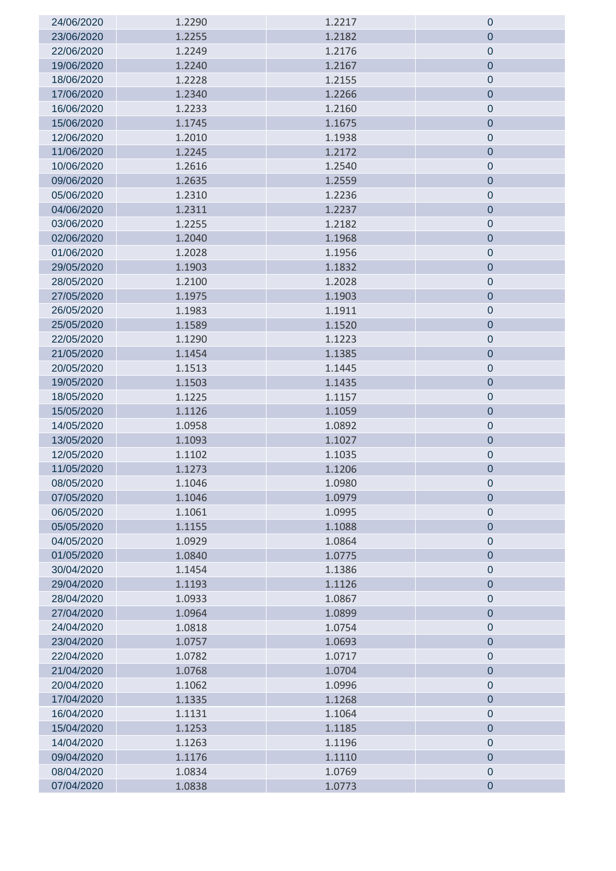| 24/06/2020               | 1.2290           | 1.2217           | $\boldsymbol{0}$           |
|--------------------------|------------------|------------------|----------------------------|
| 23/06/2020               | 1.2255           | 1.2182           | $\mathbf 0$                |
| 22/06/2020               | 1.2249           | 1.2176           | $\mathbf 0$                |
| 19/06/2020               | 1.2240           | 1.2167           | $\mathbf 0$                |
| 18/06/2020               | 1.2228           | 1.2155           | $\mathbf 0$                |
| 17/06/2020               | 1.2340           | 1.2266           | $\mathbf 0$                |
| 16/06/2020               | 1.2233           | 1.2160           | $\mathbf 0$                |
| 15/06/2020               | 1.1745           | 1.1675           | $\mathbf 0$                |
| 12/06/2020               | 1.2010           | 1.1938           | $\mathbf 0$                |
| 11/06/2020               | 1.2245           | 1.2172           | $\mathbf 0$                |
| 10/06/2020               | 1.2616           | 1.2540           | $\mathbf 0$                |
| 09/06/2020               | 1.2635           | 1.2559           | $\mathbf 0$                |
| 05/06/2020               | 1.2310           | 1.2236           | $\mathbf 0$                |
| 04/06/2020               | 1.2311           | 1.2237           | $\mathbf 0$                |
| 03/06/2020               | 1.2255           | 1.2182           | $\boldsymbol{0}$           |
| 02/06/2020               | 1.2040           | 1.1968           | $\overline{0}$             |
| 01/06/2020               | 1.2028           | 1.1956           | $\mathbf 0$                |
| 29/05/2020               | 1.1903           | 1.1832           | $\mathbf 0$                |
| 28/05/2020               | 1.2100           | 1.2028           | $\mathbf 0$                |
| 27/05/2020               | 1.1975           | 1.1903           | $\mathbf 0$                |
| 26/05/2020               | 1.1983           | 1.1911           | $\boldsymbol{0}$           |
| 25/05/2020               | 1.1589           | 1.1520           | $\overline{0}$             |
| 22/05/2020               | 1.1290           | 1.1223           | $\mathbf 0$                |
| 21/05/2020               | 1.1454           | 1.1385           | $\mathbf 0$                |
| 20/05/2020               | 1.1513           | 1.1445           | $\mathbf 0$                |
| 19/05/2020               | 1.1503           | 1.1435           | $\pmb{0}$                  |
| 18/05/2020               | 1.1225           | 1.1157           | $\mathbf 0$                |
| 15/05/2020               | 1.1126           | 1.1059           | $\overline{0}$             |
| 14/05/2020               | 1.0958           | 1.0892           | $\pmb{0}$                  |
| 13/05/2020               | 1.1093           | 1.1027           | $\mathbf 0$                |
| 12/05/2020               | 1.1102           | 1.1035           | $\pmb{0}$                  |
| 11/05/2020               | 1.1273           | 1.1206           | $\pmb{0}$                  |
| 08/05/2020               | 1.1046           | 1.0980           | 0                          |
| 07/05/2020               | 1.1046           | 1.0979           | $\mathbf 0$                |
| 06/05/2020               | 1.1061           | 1.0995           | $\pmb{0}$                  |
| 05/05/2020               | 1.1155           | 1.1088           | $\mathbf 0$                |
| 04/05/2020               | 1.0929           | 1.0864           | $\mathbf 0$                |
| 01/05/2020               | 1.0840           | 1.0775           | $\mathbf 0$                |
| 30/04/2020               | 1.1454           | 1.1386           | $\mathbf 0$                |
| 29/04/2020               | 1.1193           | 1.1126           | $\mathbf 0$                |
| 28/04/2020               | 1.0933           | 1.0867           | $\mathbf 0$                |
| 27/04/2020               | 1.0964           | 1.0899           | $\overline{0}$             |
| 24/04/2020               | 1.0818           | 1.0754           | $\pmb{0}$                  |
| 23/04/2020               | 1.0757           | 1.0693           | $\overline{0}$             |
| 22/04/2020               | 1.0782           | 1.0717           | $\pmb{0}$                  |
| 21/04/2020               | 1.0768<br>1.1062 | 1.0704<br>1.0996 | $\mathbf 0$<br>$\mathbf 0$ |
| 20/04/2020<br>17/04/2020 |                  |                  | $\mathbf 0$                |
| 16/04/2020               | 1.1335<br>1.1131 | 1.1268<br>1.1064 | $\pmb{0}$                  |
| 15/04/2020               | 1.1253           | 1.1185           | $\overline{0}$             |
| 14/04/2020               | 1.1263           | 1.1196           | $\pmb{0}$                  |
| 09/04/2020               | 1.1176           | 1.1110           | $\mathbf 0$                |
| 08/04/2020               | 1.0834           | 1.0769           | $\mathbf 0$                |
| 07/04/2020               | 1.0838           | 1.0773           | $\mathbf 0$                |
|                          |                  |                  |                            |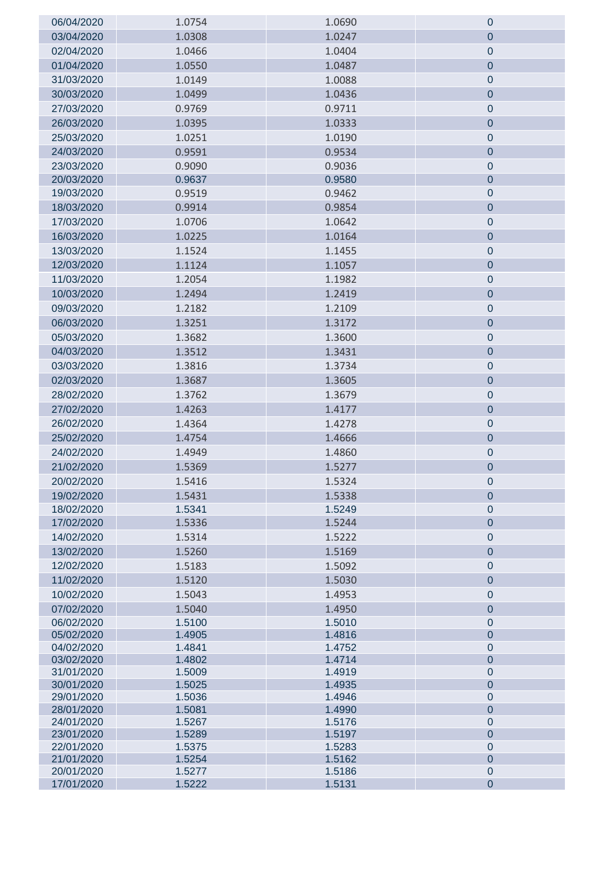| 06/04/2020               | 1.0754           | 1.0690           | 0                           |
|--------------------------|------------------|------------------|-----------------------------|
| 03/04/2020               | 1.0308           | 1.0247           | 0                           |
| 02/04/2020               | 1.0466           | 1.0404           | $\mathbf 0$                 |
| 01/04/2020               | 1.0550           | 1.0487           | $\mathbf 0$                 |
| 31/03/2020               | 1.0149           | 1.0088           | $\pmb{0}$                   |
| 30/03/2020               | 1.0499           | 1.0436           | $\overline{0}$              |
| 27/03/2020               | 0.9769           | 0.9711           | $\pmb{0}$                   |
| 26/03/2020               | 1.0395           | 1.0333           | $\boldsymbol{0}$            |
| 25/03/2020               | 1.0251           | 1.0190           | $\mathbf 0$                 |
| 24/03/2020               | 0.9591           | 0.9534           | $\pmb{0}$                   |
| 23/03/2020               | 0.9090           | 0.9036           | $\mathbf 0$                 |
| 20/03/2020               | 0.9637           | 0.9580           | $\mathbf 0$                 |
| 19/03/2020               | 0.9519           | 0.9462           | 0                           |
| 18/03/2020               | 0.9914           | 0.9854           | $\pmb{0}$                   |
| 17/03/2020               | 1.0706           | 1.0642           | $\pmb{0}$                   |
| 16/03/2020               | 1.0225           | 1.0164           | $\mathbf 0$                 |
| 13/03/2020               | 1.1524           | 1.1455           | $\pmb{0}$                   |
| 12/03/2020               | 1.1124           | 1.1057           | $\mathbf 0$                 |
| 11/03/2020               | 1.2054           | 1.1982           | $\pmb{0}$                   |
| 10/03/2020               | 1.2494           | 1.2419           | $\mathbf{0}$                |
| 09/03/2020               | 1.2182           | 1.2109           |                             |
| 06/03/2020               | 1.3251           | 1.3172           | $\mathbf 0$                 |
|                          |                  |                  | $\mathbf 0$                 |
| 05/03/2020               | 1.3682           | 1.3600           | $\pmb{0}$                   |
| 04/03/2020               | 1.3512           | 1.3431           | $\mathbf 0$                 |
| 03/03/2020               | 1.3816           | 1.3734           | $\pmb{0}$                   |
| 02/03/2020               | 1.3687           | 1.3605           | $\mathbf{0}$                |
| 28/02/2020               | 1.3762           | 1.3679           | $\pmb{0}$                   |
| 27/02/2020               | 1.4263           | 1.4177           | $\boldsymbol{0}$            |
| 26/02/2020               | 1.4364           | 1.4278           | $\mathbf 0$                 |
| 25/02/2020               | 1.4754           | 1.4666           | $\mathbf 0$                 |
| 24/02/2020               | 1.4949           | 1.4860           | $\pmb{0}$                   |
| 21/02/2020               | 1.5369           | 1.5277           | $\overline{0}$              |
| 20/02/2020               | 1.5416           | 1.5324           | Ü                           |
| 19/02/2020               | 1.5431           | 1.5338           | 0                           |
| 18/02/2020               | 1.5341           | 1.5249           | $\mathbf 0$                 |
| 17/02/2020               | 1.5336           | 1.5244           | $\overline{0}$              |
| 14/02/2020               | 1.5314           | 1.5222           | $\mathbf 0$                 |
| 13/02/2020               | 1.5260           | 1.5169           | $\mathbf 0$                 |
| 12/02/2020               | 1.5183           | 1.5092           | $\mathbf 0$                 |
| 11/02/2020               | 1.5120           | 1.5030           | $\mathbf 0$                 |
| 10/02/2020               | 1.5043           | 1.4953           | $\boldsymbol{0}$            |
| 07/02/2020               | 1.5040           | 1.4950           | $\overline{0}$              |
| 06/02/2020               | 1.5100           | 1.5010           | $\pmb{0}$                   |
| 05/02/2020<br>04/02/2020 | 1.4905           | 1.4816           | $\overline{0}$              |
| 03/02/2020               | 1.4841<br>1.4802 | 1.4752<br>1.4714 | $\pmb{0}$<br>$\overline{0}$ |
| 31/01/2020               | 1.5009           | 1.4919           | $\overline{0}$              |
| 30/01/2020               | 1.5025           | 1.4935           | $\overline{0}$              |
| 29/01/2020               | 1.5036           | 1.4946           | $\overline{0}$              |
| 28/01/2020               | 1.5081           | 1.4990           | $\overline{0}$              |
| 24/01/2020               | 1.5267           | 1.5176           | $\overline{0}$              |
| 23/01/2020               | 1.5289           | 1.5197           | $\overline{0}$              |
| 22/01/2020<br>21/01/2020 | 1.5375<br>1.5254 | 1.5283<br>1.5162 | $\pmb{0}$<br>$\overline{0}$ |
| 20/01/2020               | 1.5277           | 1.5186           | $\mathbf 0$                 |
| 17/01/2020               | 1.5222           | 1.5131           | $\mathbf 0$                 |
|                          |                  |                  |                             |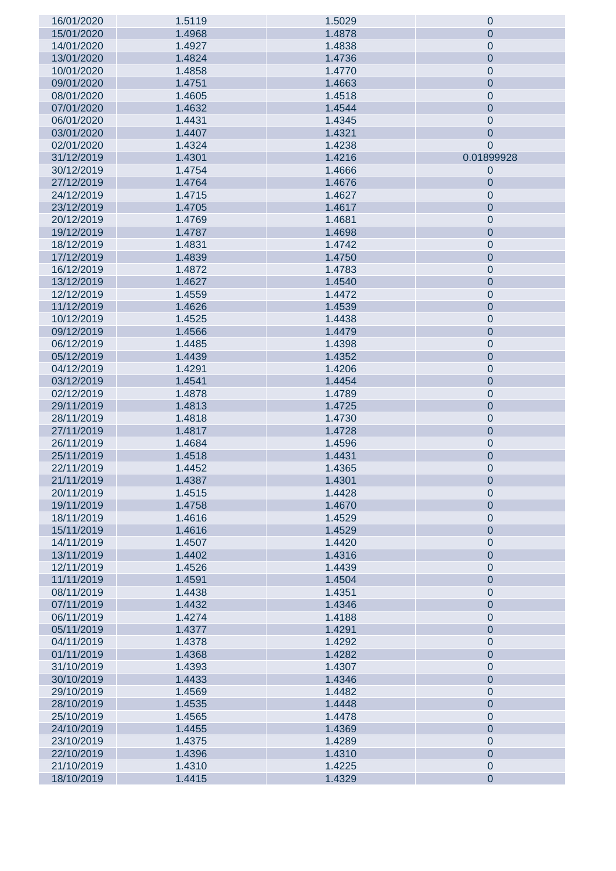| 16/01/2020 | 1.5119 | 1.5029 | $\theta$         |
|------------|--------|--------|------------------|
| 15/01/2020 | 1.4968 | 1.4878 | $\theta$         |
|            |        | 1.4838 |                  |
| 14/01/2020 | 1.4927 |        | $\mathbf 0$      |
| 13/01/2020 | 1.4824 | 1.4736 | $\mathbf 0$      |
| 10/01/2020 | 1.4858 | 1.4770 | $\mathbf 0$      |
| 09/01/2020 | 1.4751 | 1.4663 | $\mathbf 0$      |
|            |        |        |                  |
| 08/01/2020 | 1.4605 | 1.4518 | $\mathbf 0$      |
| 07/01/2020 | 1.4632 | 1.4544 | $\mathbf 0$      |
| 06/01/2020 | 1.4431 | 1.4345 | $\theta$         |
| 03/01/2020 |        |        |                  |
|            | 1.4407 | 1.4321 | $\mathbf 0$      |
| 02/01/2020 | 1.4324 | 1.4238 | $\theta$         |
| 31/12/2019 | 1.4301 | 1.4216 | 0.01899928       |
| 30/12/2019 | 1.4754 | 1.4666 | $\theta$         |
|            |        |        |                  |
| 27/12/2019 | 1.4764 | 1.4676 | $\theta$         |
| 24/12/2019 | 1.4715 | 1.4627 | $\mathbf 0$      |
| 23/12/2019 | 1.4705 | 1.4617 | $\theta$         |
| 20/12/2019 | 1.4769 | 1.4681 | $\mathbf 0$      |
|            |        |        |                  |
| 19/12/2019 | 1.4787 | 1.4698 | $\mathbf 0$      |
| 18/12/2019 | 1.4831 | 1.4742 | $\mathbf 0$      |
| 17/12/2019 | 1.4839 | 1.4750 | $\mathbf 0$      |
| 16/12/2019 | 1.4872 | 1.4783 | $\mathbf 0$      |
|            |        |        |                  |
| 13/12/2019 | 1.4627 | 1.4540 | $\mathbf 0$      |
| 12/12/2019 | 1.4559 | 1.4472 | $\mathbf 0$      |
| 11/12/2019 | 1.4626 | 1.4539 | $\mathbf 0$      |
| 10/12/2019 | 1.4525 | 1.4438 | $\mathbf 0$      |
|            |        |        |                  |
| 09/12/2019 | 1.4566 | 1.4479 | $\mathbf 0$      |
| 06/12/2019 | 1.4485 | 1.4398 | $\mathbf 0$      |
| 05/12/2019 | 1.4439 | 1.4352 | $\mathbf 0$      |
| 04/12/2019 | 1.4291 | 1.4206 | $\mathbf 0$      |
| 03/12/2019 | 1.4541 | 1.4454 | $\mathbf 0$      |
|            |        |        |                  |
| 02/12/2019 | 1.4878 | 1.4789 | $\mathbf 0$      |
| 29/11/2019 | 1.4813 | 1.4725 | $\mathbf 0$      |
| 28/11/2019 | 1.4818 | 1.4730 | $\mathbf 0$      |
| 27/11/2019 | 1.4817 | 1.4728 | $\mathbf 0$      |
| 26/11/2019 | 1.4684 | 1.4596 | $\mathbf 0$      |
|            |        |        |                  |
| 25/11/2019 | 1.4518 | 1.4431 | $\mathbf 0$      |
| 22/11/2019 | 1.4452 | 1.4365 | $\mathbf 0$      |
| 21/11/2019 | 1.4387 | 1.4301 | $\theta$         |
| 20/11/2019 | 1.4515 | 1.4428 | $\mathbf 0$      |
| 19/11/2019 | 1.4758 | 1.4670 | $\mathbf 0$      |
|            |        |        |                  |
| 18/11/2019 | 1.4616 | 1.4529 | $\mathbf 0$      |
| 15/11/2019 | 1.4616 | 1.4529 | $\mathbf 0$      |
| 14/11/2019 | 1.4507 | 1.4420 | $\mathbf 0$      |
| 13/11/2019 | 1.4402 | 1.4316 | $\mathbf 0$      |
|            |        |        |                  |
| 12/11/2019 | 1.4526 | 1.4439 | $\mathbf 0$      |
| 11/11/2019 | 1.4591 | 1.4504 | $\mathbf 0$      |
| 08/11/2019 | 1.4438 | 1.4351 | $\mathbf 0$      |
| 07/11/2019 | 1.4432 | 1.4346 | $\mathbf 0$      |
| 06/11/2019 | 1.4274 | 1.4188 | $\mathbf 0$      |
|            |        |        |                  |
| 05/11/2019 | 1.4377 | 1.4291 | $\mathbf 0$      |
| 04/11/2019 | 1.4378 | 1.4292 | $\mathbf 0$      |
| 01/11/2019 | 1.4368 | 1.4282 | $\mathbf 0$      |
| 31/10/2019 | 1.4393 | 1.4307 | $\mathbf 0$      |
| 30/10/2019 | 1.4433 | 1.4346 | $\mathbf 0$      |
|            |        |        |                  |
| 29/10/2019 | 1.4569 | 1.4482 | $\mathbf 0$      |
| 28/10/2019 | 1.4535 | 1.4448 | $\mathbf 0$      |
| 25/10/2019 | 1.4565 | 1.4478 | $\mathbf 0$      |
| 24/10/2019 | 1.4455 | 1.4369 | $\mathbf 0$      |
| 23/10/2019 | 1.4375 | 1.4289 | $\mathbf 0$      |
|            |        |        |                  |
| 22/10/2019 | 1.4396 | 1.4310 | $\mathbf 0$      |
| 21/10/2019 | 1.4310 | 1.4225 | $\mathbf 0$      |
| 18/10/2019 | 1.4415 | 1.4329 | $\boldsymbol{0}$ |
|            |        |        |                  |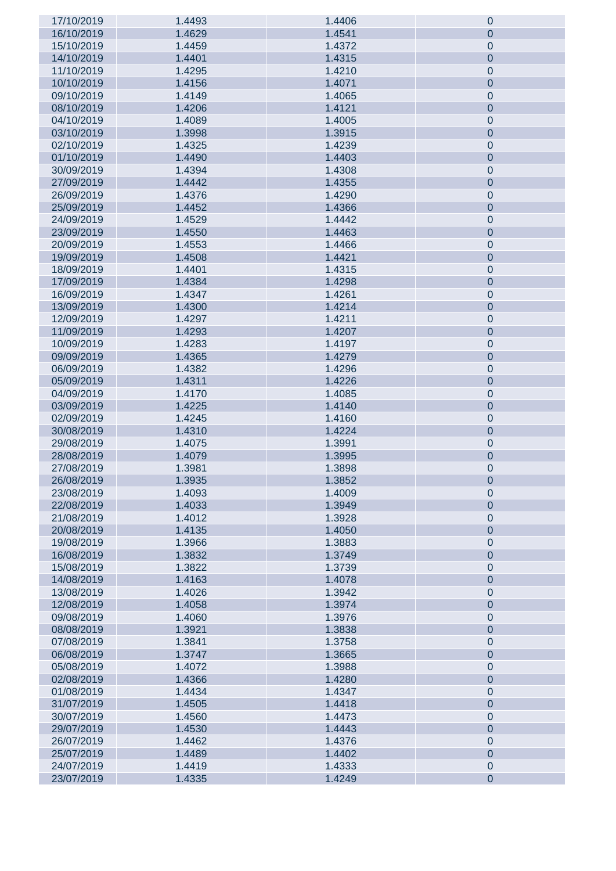| 17/10/2019 | 1.4493 | 1.4406 | $\pmb{0}$        |
|------------|--------|--------|------------------|
| 16/10/2019 | 1.4629 | 1.4541 | $\boldsymbol{0}$ |
| 15/10/2019 | 1.4459 | 1.4372 | $\mathbf 0$      |
| 14/10/2019 | 1.4401 | 1.4315 | $\pmb{0}$        |
| 11/10/2019 | 1.4295 | 1.4210 | $\mathbf 0$      |
|            |        |        |                  |
| 10/10/2019 | 1.4156 | 1.4071 | $\pmb{0}$        |
| 09/10/2019 | 1.4149 | 1.4065 | $\mathbf 0$      |
| 08/10/2019 | 1.4206 | 1.4121 | $\pmb{0}$        |
| 04/10/2019 | 1.4089 | 1.4005 | $\mathbf 0$      |
| 03/10/2019 | 1.3998 | 1.3915 | $\pmb{0}$        |
| 02/10/2019 | 1.4325 | 1.4239 | $\mathbf 0$      |
| 01/10/2019 | 1.4490 | 1.4403 | $\pmb{0}$        |
| 30/09/2019 | 1.4394 | 1.4308 | $\mathbf 0$      |
| 27/09/2019 | 1.4442 | 1.4355 | $\pmb{0}$        |
| 26/09/2019 | 1.4376 | 1.4290 | $\mathbf 0$      |
|            |        |        |                  |
| 25/09/2019 | 1.4452 | 1.4366 | $\pmb{0}$        |
| 24/09/2019 | 1.4529 | 1.4442 | $\mathbf 0$      |
| 23/09/2019 | 1.4550 | 1.4463 | $\pmb{0}$        |
| 20/09/2019 | 1.4553 | 1.4466 | $\mathbf 0$      |
| 19/09/2019 | 1.4508 | 1.4421 | $\pmb{0}$        |
| 18/09/2019 | 1.4401 | 1.4315 | $\mathbf 0$      |
| 17/09/2019 | 1.4384 | 1.4298 | $\pmb{0}$        |
| 16/09/2019 | 1.4347 | 1.4261 | $\mathbf 0$      |
| 13/09/2019 | 1.4300 | 1.4214 | $\pmb{0}$        |
| 12/09/2019 | 1.4297 | 1.4211 | $\mathbf 0$      |
| 11/09/2019 | 1.4293 | 1.4207 | $\pmb{0}$        |
| 10/09/2019 | 1.4283 | 1.4197 | $\mathbf 0$      |
|            |        |        |                  |
| 09/09/2019 | 1.4365 | 1.4279 | $\pmb{0}$        |
| 06/09/2019 | 1.4382 | 1.4296 | $\mathbf 0$      |
| 05/09/2019 | 1.4311 | 1.4226 | $\pmb{0}$        |
| 04/09/2019 | 1.4170 | 1.4085 | $\mathbf 0$      |
| 03/09/2019 | 1.4225 | 1.4140 | $\pmb{0}$        |
| 02/09/2019 | 1.4245 | 1.4160 | $\mathbf 0$      |
| 30/08/2019 | 1.4310 | 1.4224 | $\pmb{0}$        |
| 29/08/2019 | 1.4075 | 1.3991 | $\mathbf 0$      |
| 28/08/2019 | 1.4079 | 1.3995 | $\pmb{0}$        |
| 27/08/2019 | 1.3981 | 1.3898 | $\pmb{0}$        |
| 26/08/2019 | 1.3935 | 1.3852 | $\pmb{0}$        |
| 23/08/2019 | 1.4093 | 1.4009 | $\pmb{0}$        |
| 22/08/2019 | 1.4033 | 1.3949 | $\pmb{0}$        |
| 21/08/2019 | 1.4012 | 1.3928 | $\pmb{0}$        |
| 20/08/2019 | 1.4135 | 1.4050 | $\pmb{0}$        |
| 19/08/2019 | 1.3966 | 1.3883 | $\pmb{0}$        |
| 16/08/2019 | 1.3832 |        |                  |
|            |        | 1.3749 | $\pmb{0}$        |
| 15/08/2019 | 1.3822 | 1.3739 | $\pmb{0}$        |
| 14/08/2019 | 1.4163 | 1.4078 | $\pmb{0}$        |
| 13/08/2019 | 1.4026 | 1.3942 | $\pmb{0}$        |
| 12/08/2019 | 1.4058 | 1.3974 | $\pmb{0}$        |
| 09/08/2019 | 1.4060 | 1.3976 | $\pmb{0}$        |
| 08/08/2019 | 1.3921 | 1.3838 | $\pmb{0}$        |
| 07/08/2019 | 1.3841 | 1.3758 | $\pmb{0}$        |
| 06/08/2019 | 1.3747 | 1.3665 | $\pmb{0}$        |
| 05/08/2019 | 1.4072 | 1.3988 | $\pmb{0}$        |
| 02/08/2019 | 1.4366 | 1.4280 | $\pmb{0}$        |
| 01/08/2019 | 1.4434 | 1.4347 | $\pmb{0}$        |
| 31/07/2019 | 1.4505 | 1.4418 | $\pmb{0}$        |
| 30/07/2019 | 1.4560 | 1.4473 | $\pmb{0}$        |
| 29/07/2019 | 1.4530 | 1.4443 | $\pmb{0}$        |
| 26/07/2019 | 1.4462 | 1.4376 | $\pmb{0}$        |
| 25/07/2019 | 1.4489 | 1.4402 | $\pmb{0}$        |
|            | 1.4419 | 1.4333 |                  |
| 24/07/2019 |        |        | $\pmb{0}$        |
| 23/07/2019 | 1.4335 | 1.4249 | $\overline{0}$   |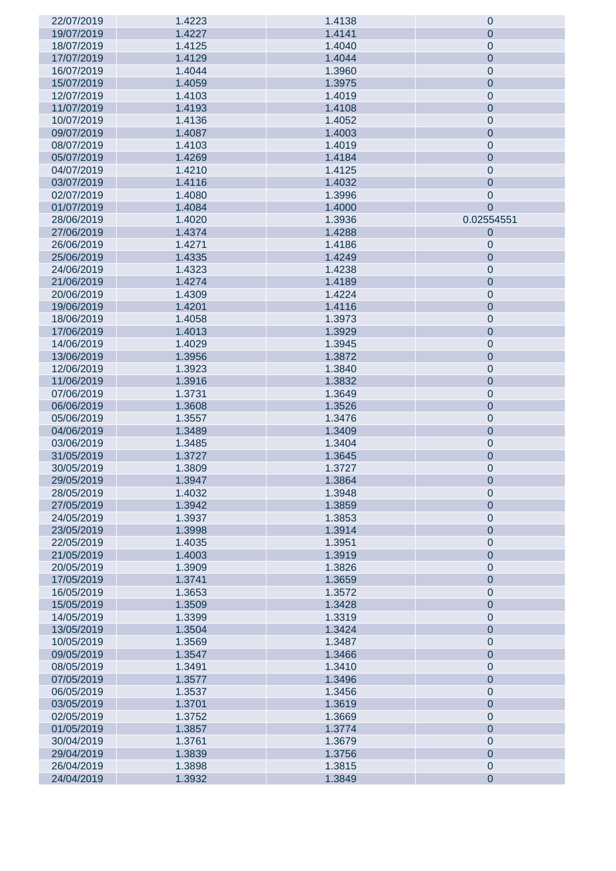| 22/07/2019 | 1.4223 | 1.4138 | $\mathbf 0$    |
|------------|--------|--------|----------------|
| 19/07/2019 | 1.4227 | 1.4141 | $\theta$       |
| 18/07/2019 |        |        |                |
|            | 1.4125 | 1.4040 | $\mathbf 0$    |
| 17/07/2019 | 1.4129 | 1.4044 | $\mathbf 0$    |
| 16/07/2019 | 1.4044 | 1.3960 | $\mathbf 0$    |
| 15/07/2019 | 1.4059 | 1.3975 | $\mathbf 0$    |
|            |        |        |                |
| 12/07/2019 | 1.4103 | 1.4019 | $\mathbf 0$    |
| 11/07/2019 | 1.4193 | 1.4108 | $\mathbf 0$    |
| 10/07/2019 | 1.4136 | 1.4052 | $\mathbf 0$    |
| 09/07/2019 | 1.4087 | 1.4003 | $\mathbf 0$    |
| 08/07/2019 | 1.4103 | 1.4019 |                |
|            |        |        | $\mathbf 0$    |
| 05/07/2019 | 1.4269 | 1.4184 | $\mathbf 0$    |
| 04/07/2019 | 1.4210 | 1.4125 | $\mathbf 0$    |
| 03/07/2019 | 1.4116 | 1.4032 | $\mathbf 0$    |
| 02/07/2019 | 1.4080 | 1.3996 | $\mathbf 0$    |
|            |        |        |                |
| 01/07/2019 | 1.4084 | 1.4000 | $\overline{0}$ |
| 28/06/2019 | 1.4020 | 1.3936 | 0.02554551     |
| 27/06/2019 | 1.4374 | 1.4288 | $\theta$       |
| 26/06/2019 | 1.4271 | 1.4186 | $\mathbf 0$    |
|            |        |        |                |
| 25/06/2019 | 1.4335 | 1.4249 | $\mathbf 0$    |
| 24/06/2019 | 1.4323 | 1.4238 | $\mathbf 0$    |
| 21/06/2019 | 1.4274 | 1.4189 | $\mathbf 0$    |
| 20/06/2019 | 1.4309 | 1.4224 | $\mathbf 0$    |
|            |        |        |                |
| 19/06/2019 | 1.4201 | 1.4116 | $\mathbf 0$    |
| 18/06/2019 | 1.4058 | 1.3973 | $\mathbf 0$    |
| 17/06/2019 | 1.4013 | 1.3929 | $\mathbf 0$    |
| 14/06/2019 | 1.4029 | 1.3945 | $\mathbf 0$    |
|            |        |        |                |
| 13/06/2019 | 1.3956 | 1.3872 | $\mathbf 0$    |
| 12/06/2019 | 1.3923 | 1.3840 | $\mathbf 0$    |
| 11/06/2019 | 1.3916 | 1.3832 | $\mathbf 0$    |
| 07/06/2019 | 1.3731 | 1.3649 | $\mathbf 0$    |
|            |        |        |                |
| 06/06/2019 | 1.3608 | 1.3526 | $\mathbf 0$    |
| 05/06/2019 | 1.3557 | 1.3476 | $\mathbf 0$    |
| 04/06/2019 | 1.3489 | 1.3409 | $\mathbf 0$    |
| 03/06/2019 | 1.3485 | 1.3404 | $\mathbf 0$    |
|            |        |        |                |
| 31/05/2019 | 1.3727 | 1.3645 | $\mathbf 0$    |
| 30/05/2019 | 1.3809 | 1.3727 | $\mathbf 0$    |
| 29/05/2019 | 1.3947 | 1.3864 | $\mathbf 0$    |
| 28/05/2019 | 1.4032 | 1.3948 | $\mathbf 0$    |
| 27/05/2019 | 1.3942 | 1.3859 | $\mathbf 0$    |
|            |        |        |                |
| 24/05/2019 | 1.3937 | 1.3853 | $\mathbf 0$    |
| 23/05/2019 | 1.3998 | 1.3914 | $\mathbf 0$    |
| 22/05/2019 | 1.4035 | 1.3951 | $\mathbf 0$    |
| 21/05/2019 | 1.4003 | 1.3919 | $\mathbf 0$    |
|            |        |        |                |
| 20/05/2019 | 1.3909 | 1.3826 | $\mathbf 0$    |
| 17/05/2019 | 1.3741 | 1.3659 | $\mathbf 0$    |
| 16/05/2019 | 1.3653 | 1.3572 | $\mathbf 0$    |
| 15/05/2019 | 1.3509 | 1.3428 | $\mathbf 0$    |
|            |        |        |                |
| 14/05/2019 | 1.3399 | 1.3319 | $\mathbf 0$    |
| 13/05/2019 | 1.3504 | 1.3424 | $\mathbf 0$    |
| 10/05/2019 | 1.3569 | 1.3487 | $\mathbf 0$    |
| 09/05/2019 | 1.3547 | 1.3466 | $\mathbf 0$    |
| 08/05/2019 | 1.3491 | 1.3410 | $\mathbf 0$    |
|            |        |        |                |
| 07/05/2019 | 1.3577 | 1.3496 | $\mathbf 0$    |
| 06/05/2019 | 1.3537 | 1.3456 | $\mathbf 0$    |
| 03/05/2019 | 1.3701 | 1.3619 | $\mathbf 0$    |
| 02/05/2019 | 1.3752 | 1.3669 | $\mathbf 0$    |
|            |        |        |                |
| 01/05/2019 | 1.3857 | 1.3774 | $\mathbf 0$    |
| 30/04/2019 | 1.3761 | 1.3679 | $\mathbf 0$    |
| 29/04/2019 | 1.3839 | 1.3756 | $\mathbf 0$    |
| 26/04/2019 | 1.3898 | 1.3815 | $\mathbf 0$    |
| 24/04/2019 | 1.3932 | 1.3849 | $\mathbf 0$    |
|            |        |        |                |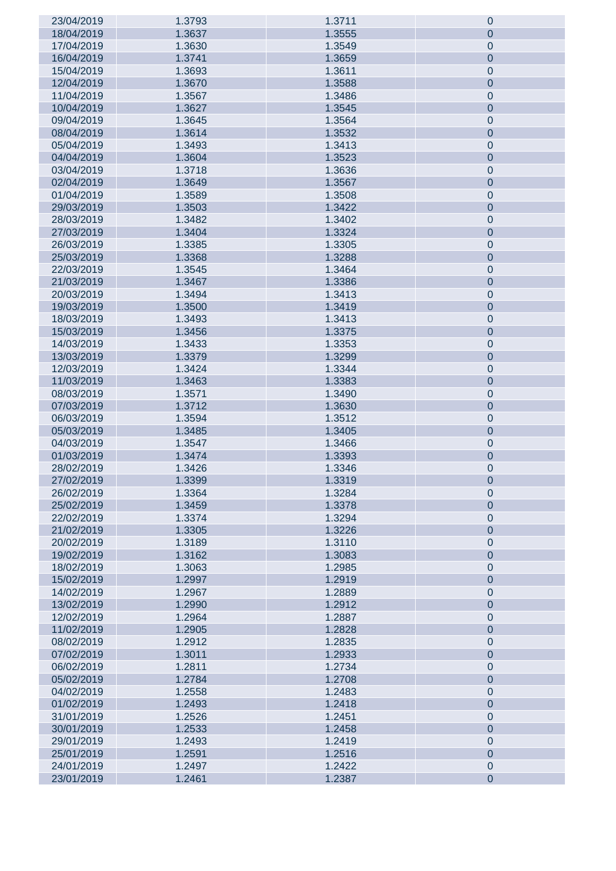| 23/04/2019 | 1.3793 | 1.3711 | $\pmb{0}$        |
|------------|--------|--------|------------------|
| 18/04/2019 | 1.3637 | 1.3555 | $\boldsymbol{0}$ |
| 17/04/2019 | 1.3630 | 1.3549 | $\mathbf 0$      |
| 16/04/2019 | 1.3741 | 1.3659 | $\pmb{0}$        |
| 15/04/2019 | 1.3693 | 1.3611 | $\mathbf 0$      |
|            |        |        |                  |
| 12/04/2019 | 1.3670 | 1.3588 | $\pmb{0}$        |
| 11/04/2019 | 1.3567 | 1.3486 | $\mathbf 0$      |
| 10/04/2019 | 1.3627 | 1.3545 | $\pmb{0}$        |
| 09/04/2019 | 1.3645 | 1.3564 | $\mathbf 0$      |
| 08/04/2019 | 1.3614 | 1.3532 | $\pmb{0}$        |
| 05/04/2019 | 1.3493 | 1.3413 | $\mathbf 0$      |
| 04/04/2019 | 1.3604 | 1.3523 | $\pmb{0}$        |
| 03/04/2019 | 1.3718 | 1.3636 | $\mathbf 0$      |
| 02/04/2019 | 1.3649 | 1.3567 | $\pmb{0}$        |
|            |        |        |                  |
| 01/04/2019 | 1.3589 | 1.3508 | $\mathbf 0$      |
| 29/03/2019 | 1.3503 | 1.3422 | $\pmb{0}$        |
| 28/03/2019 | 1.3482 | 1.3402 | $\mathbf 0$      |
| 27/03/2019 | 1.3404 | 1.3324 | $\pmb{0}$        |
| 26/03/2019 | 1.3385 | 1.3305 | $\mathbf 0$      |
| 25/03/2019 | 1.3368 | 1.3288 | $\pmb{0}$        |
| 22/03/2019 | 1.3545 | 1.3464 | $\mathbf 0$      |
| 21/03/2019 | 1.3467 | 1.3386 | $\pmb{0}$        |
| 20/03/2019 | 1.3494 | 1.3413 | $\mathbf 0$      |
| 19/03/2019 | 1.3500 | 1.3419 | $\pmb{0}$        |
|            |        |        |                  |
| 18/03/2019 | 1.3493 | 1.3413 | $\mathbf 0$      |
| 15/03/2019 | 1.3456 | 1.3375 | $\pmb{0}$        |
| 14/03/2019 | 1.3433 | 1.3353 | $\mathbf 0$      |
| 13/03/2019 | 1.3379 | 1.3299 | $\pmb{0}$        |
| 12/03/2019 | 1.3424 | 1.3344 | $\mathbf 0$      |
| 11/03/2019 | 1.3463 | 1.3383 | $\pmb{0}$        |
| 08/03/2019 | 1.3571 | 1.3490 | $\mathbf 0$      |
| 07/03/2019 | 1.3712 | 1.3630 | $\pmb{0}$        |
| 06/03/2019 | 1.3594 | 1.3512 | $\mathbf 0$      |
| 05/03/2019 | 1.3485 | 1.3405 | $\pmb{0}$        |
| 04/03/2019 | 1.3547 | 1.3466 | $\mathbf 0$      |
| 01/03/2019 | 1.3474 | 1.3393 | $\pmb{0}$        |
| 28/02/2019 | 1.3426 | 1.3346 | $\pmb{0}$        |
| 27/02/2019 |        | 1.3319 |                  |
|            | 1.3399 |        | $\pmb{0}$        |
| 26/02/2019 | 1.3364 | 1.3284 | $\pmb{0}$        |
| 25/02/2019 | 1.3459 | 1.3378 | $\pmb{0}$        |
| 22/02/2019 | 1.3374 | 1.3294 | $\pmb{0}$        |
| 21/02/2019 | 1.3305 | 1.3226 | $\pmb{0}$        |
| 20/02/2019 | 1.3189 | 1.3110 | $\pmb{0}$        |
| 19/02/2019 | 1.3162 | 1.3083 | $\pmb{0}$        |
| 18/02/2019 | 1.3063 | 1.2985 | $\pmb{0}$        |
| 15/02/2019 | 1.2997 | 1.2919 | $\pmb{0}$        |
| 14/02/2019 | 1.2967 | 1.2889 | $\pmb{0}$        |
| 13/02/2019 | 1.2990 | 1.2912 | $\pmb{0}$        |
| 12/02/2019 | 1.2964 | 1.2887 | $\pmb{0}$        |
| 11/02/2019 | 1.2905 | 1.2828 | $\pmb{0}$        |
| 08/02/2019 | 1.2912 | 1.2835 | $\pmb{0}$        |
|            |        |        | $\pmb{0}$        |
| 07/02/2019 | 1.3011 | 1.2933 |                  |
| 06/02/2019 | 1.2811 | 1.2734 | $\pmb{0}$        |
| 05/02/2019 | 1.2784 | 1.2708 | $\pmb{0}$        |
| 04/02/2019 | 1.2558 | 1.2483 | $\pmb{0}$        |
| 01/02/2019 | 1.2493 | 1.2418 | $\pmb{0}$        |
| 31/01/2019 | 1.2526 | 1.2451 | $\pmb{0}$        |
| 30/01/2019 | 1.2533 | 1.2458 | $\pmb{0}$        |
| 29/01/2019 | 1.2493 | 1.2419 | $\pmb{0}$        |
| 25/01/2019 | 1.2591 | 1.2516 | $\pmb{0}$        |
| 24/01/2019 | 1.2497 | 1.2422 | $\pmb{0}$        |
| 23/01/2019 | 1.2461 | 1.2387 | $\overline{0}$   |
|            |        |        |                  |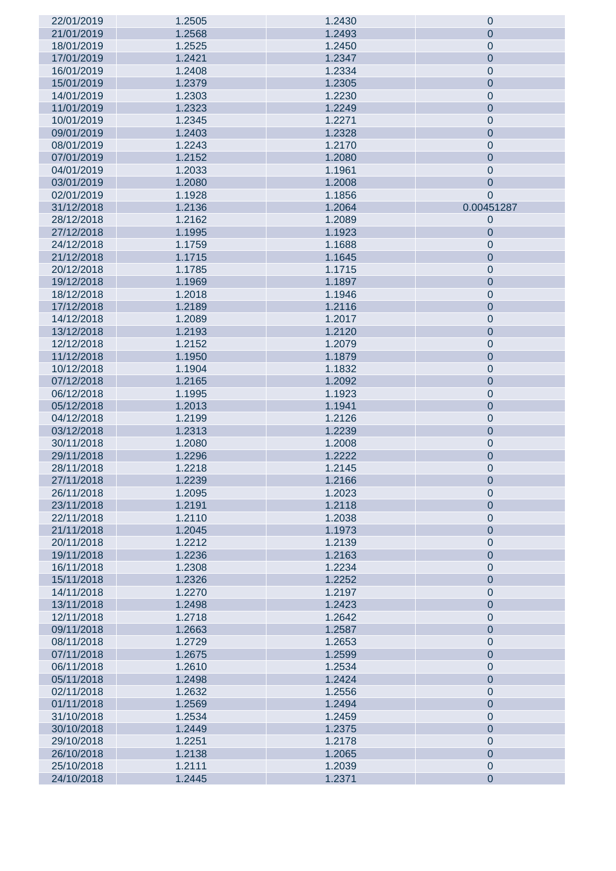| 22/01/2019 | 1.2505 | 1.2430 | $\theta$         |
|------------|--------|--------|------------------|
| 21/01/2019 | 1.2568 | 1.2493 | $\theta$         |
|            |        |        |                  |
| 18/01/2019 | 1.2525 | 1.2450 | $\mathbf 0$      |
| 17/01/2019 | 1.2421 | 1.2347 | $\mathbf 0$      |
| 16/01/2019 | 1.2408 | 1.2334 | $\mathbf 0$      |
| 15/01/2019 | 1.2379 | 1.2305 | $\mathbf 0$      |
| 14/01/2019 | 1.2303 | 1.2230 | $\mathbf 0$      |
|            |        |        |                  |
| 11/01/2019 | 1.2323 | 1.2249 | $\mathbf 0$      |
| 10/01/2019 | 1.2345 | 1.2271 | $\mathbf 0$      |
| 09/01/2019 | 1.2403 | 1.2328 | $\mathbf 0$      |
| 08/01/2019 | 1.2243 | 1.2170 | $\mathbf 0$      |
|            |        |        |                  |
| 07/01/2019 | 1.2152 | 1.2080 | $\mathbf 0$      |
| 04/01/2019 | 1.2033 | 1.1961 | $\theta$         |
| 03/01/2019 | 1.2080 | 1.2008 | $\mathbf 0$      |
| 02/01/2019 | 1.1928 | 1.1856 | $\theta$         |
| 31/12/2018 | 1.2136 | 1.2064 | 0.00451287       |
|            |        |        |                  |
| 28/12/2018 | 1.2162 | 1.2089 | $\theta$         |
| 27/12/2018 | 1.1995 | 1.1923 | $\theta$         |
| 24/12/2018 | 1.1759 | 1.1688 | $\mathbf 0$      |
| 21/12/2018 | 1.1715 | 1.1645 | $\mathbf 0$      |
|            |        |        |                  |
| 20/12/2018 | 1.1785 | 1.1715 | $\mathbf 0$      |
| 19/12/2018 | 1.1969 | 1.1897 | $\mathbf 0$      |
| 18/12/2018 | 1.2018 | 1.1946 | $\mathbf 0$      |
| 17/12/2018 | 1.2189 | 1.2116 | $\mathbf 0$      |
| 14/12/2018 | 1.2089 | 1.2017 | $\mathbf 0$      |
|            |        |        |                  |
| 13/12/2018 | 1.2193 | 1.2120 | $\mathbf 0$      |
| 12/12/2018 | 1.2152 | 1.2079 | $\mathbf 0$      |
| 11/12/2018 | 1.1950 | 1.1879 | $\mathbf 0$      |
| 10/12/2018 | 1.1904 | 1.1832 | $\mathbf 0$      |
|            |        |        |                  |
| 07/12/2018 | 1.2165 | 1.2092 | $\mathbf 0$      |
| 06/12/2018 | 1.1995 | 1.1923 | $\mathbf 0$      |
| 05/12/2018 | 1.2013 | 1.1941 | $\mathbf 0$      |
| 04/12/2018 | 1.2199 | 1.2126 | $\mathbf 0$      |
| 03/12/2018 | 1.2313 | 1.2239 | $\mathbf 0$      |
|            |        |        |                  |
| 30/11/2018 | 1.2080 | 1.2008 | $\mathbf 0$      |
| 29/11/2018 | 1.2296 | 1.2222 | $\mathbf 0$      |
| 28/11/2018 | 1.2218 | 1.2145 | $\mathbf 0$      |
| 27/11/2018 | 1.2239 | 1.2166 | $\theta$         |
| 26/11/2018 | 1.2095 | 1.2023 | $\mathbf 0$      |
|            |        |        |                  |
| 23/11/2018 | 1.2191 | 1.2118 | $\mathbf 0$      |
| 22/11/2018 | 1.2110 | 1.2038 | $\mathbf 0$      |
| 21/11/2018 | 1.2045 | 1.1973 | $\overline{0}$   |
| 20/11/2018 | 1.2212 | 1.2139 | $\mathbf 0$      |
| 19/11/2018 | 1.2236 | 1.2163 | $\overline{0}$   |
|            |        |        |                  |
| 16/11/2018 | 1.2308 | 1.2234 | $\mathbf 0$      |
| 15/11/2018 | 1.2326 | 1.2252 | $\mathbf 0$      |
| 14/11/2018 | 1.2270 | 1.2197 | $\mathbf 0$      |
| 13/11/2018 | 1.2498 | 1.2423 | $\mathbf 0$      |
| 12/11/2018 | 1.2718 | 1.2642 | $\mathbf 0$      |
|            |        |        |                  |
| 09/11/2018 | 1.2663 | 1.2587 | $\mathbf 0$      |
| 08/11/2018 | 1.2729 | 1.2653 | $\mathbf 0$      |
| 07/11/2018 | 1.2675 | 1.2599 | $\mathbf 0$      |
| 06/11/2018 | 1.2610 | 1.2534 | $\mathbf 0$      |
|            |        | 1.2424 | $\mathbf 0$      |
| 05/11/2018 | 1.2498 |        |                  |
| 02/11/2018 | 1.2632 | 1.2556 | $\mathbf 0$      |
| 01/11/2018 | 1.2569 | 1.2494 | $\mathbf 0$      |
| 31/10/2018 | 1.2534 | 1.2459 | $\mathbf 0$      |
| 30/10/2018 | 1.2449 | 1.2375 | $\mathbf 0$      |
| 29/10/2018 | 1.2251 | 1.2178 | $\mathbf 0$      |
|            |        |        |                  |
| 26/10/2018 | 1.2138 | 1.2065 | $\mathbf 0$      |
| 25/10/2018 | 1.2111 | 1.2039 | $\mathbf 0$      |
| 24/10/2018 | 1.2445 | 1.2371 | $\boldsymbol{0}$ |
|            |        |        |                  |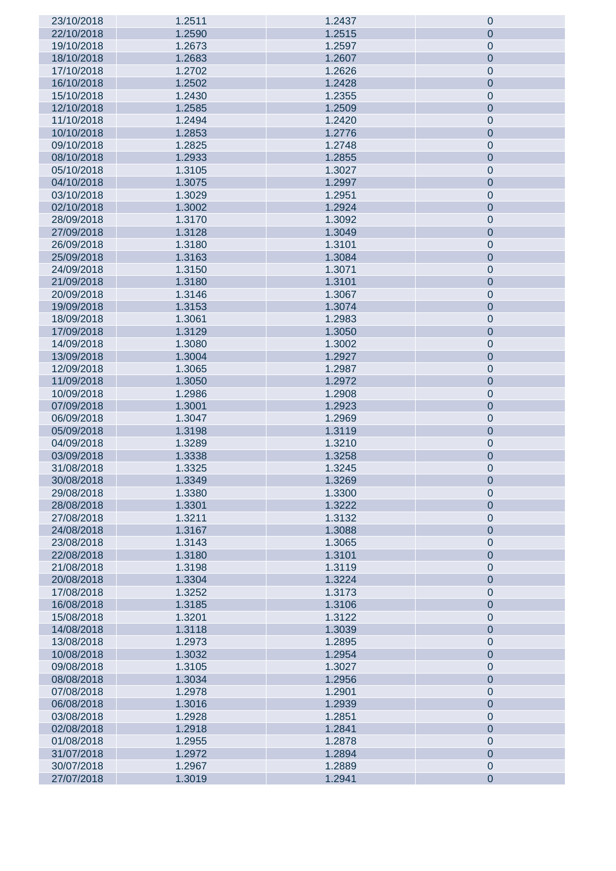| 23/10/2018 | 1.2511 | 1.2437 | $\pmb{0}$      |
|------------|--------|--------|----------------|
| 22/10/2018 | 1.2590 | 1.2515 | 0              |
| 19/10/2018 | 1.2673 | 1.2597 | $\pmb{0}$      |
| 18/10/2018 | 1.2683 | 1.2607 | $\pmb{0}$      |
|            |        |        |                |
| 17/10/2018 | 1.2702 | 1.2626 | $\pmb{0}$      |
| 16/10/2018 | 1.2502 | 1.2428 | $\pmb{0}$      |
| 15/10/2018 | 1.2430 | 1.2355 | $\mathbf 0$    |
| 12/10/2018 | 1.2585 | 1.2509 | $\pmb{0}$      |
| 11/10/2018 | 1.2494 | 1.2420 | $\mathbf 0$    |
| 10/10/2018 | 1.2853 | 1.2776 | $\pmb{0}$      |
| 09/10/2018 | 1.2825 | 1.2748 | $\mathbf 0$    |
| 08/10/2018 | 1.2933 | 1.2855 | $\pmb{0}$      |
|            |        |        |                |
| 05/10/2018 | 1.3105 | 1.3027 | $\mathbf 0$    |
| 04/10/2018 | 1.3075 | 1.2997 | $\pmb{0}$      |
| 03/10/2018 | 1.3029 | 1.2951 | $\mathbf 0$    |
| 02/10/2018 | 1.3002 | 1.2924 | $\pmb{0}$      |
| 28/09/2018 | 1.3170 | 1.3092 | $\mathbf 0$    |
| 27/09/2018 | 1.3128 | 1.3049 | $\pmb{0}$      |
| 26/09/2018 | 1.3180 | 1.3101 | $\mathbf 0$    |
| 25/09/2018 | 1.3163 | 1.3084 | $\pmb{0}$      |
|            |        |        |                |
| 24/09/2018 | 1.3150 | 1.3071 | $\mathbf 0$    |
| 21/09/2018 | 1.3180 | 1.3101 | $\pmb{0}$      |
| 20/09/2018 | 1.3146 | 1.3067 | $\mathbf 0$    |
| 19/09/2018 | 1.3153 | 1.3074 | $\pmb{0}$      |
| 18/09/2018 | 1.3061 | 1.2983 | $\mathbf 0$    |
| 17/09/2018 | 1.3129 | 1.3050 | $\pmb{0}$      |
| 14/09/2018 | 1.3080 | 1.3002 | $\mathbf 0$    |
| 13/09/2018 | 1.3004 | 1.2927 | $\pmb{0}$      |
|            |        |        |                |
| 12/09/2018 | 1.3065 | 1.2987 | $\pmb{0}$      |
| 11/09/2018 | 1.3050 | 1.2972 | $\pmb{0}$      |
| 10/09/2018 | 1.2986 | 1.2908 | $\pmb{0}$      |
| 07/09/2018 | 1.3001 | 1.2923 | $\pmb{0}$      |
| 06/09/2018 | 1.3047 | 1.2969 | $\pmb{0}$      |
| 05/09/2018 | 1.3198 | 1.3119 | $\pmb{0}$      |
| 04/09/2018 | 1.3289 | 1.3210 | $\mathbf 0$    |
| 03/09/2018 | 1.3338 | 1.3258 | $\pmb{0}$      |
|            |        |        |                |
| 31/08/2018 | 1.3325 | 1.3245 | $\pmb{0}$      |
| 30/08/2018 | 1.3349 | 1.3269 | $\pmb{0}$      |
| 29/08/2018 | 1.3380 | 1.3300 | $\pmb{0}$      |
| 28/08/2018 | 1.3301 | 1.3222 | $\pmb{0}$      |
| 27/08/2018 | 1.3211 | 1.3132 | $\pmb{0}$      |
| 24/08/2018 | 1.3167 | 1.3088 | $\pmb{0}$      |
| 23/08/2018 | 1.3143 | 1.3065 | $\pmb{0}$      |
| 22/08/2018 | 1.3180 | 1.3101 | $\pmb{0}$      |
| 21/08/2018 | 1.3198 | 1.3119 | $\pmb{0}$      |
|            |        |        |                |
| 20/08/2018 | 1.3304 | 1.3224 | $\pmb{0}$      |
| 17/08/2018 | 1.3252 | 1.3173 | $\pmb{0}$      |
| 16/08/2018 | 1.3185 | 1.3106 | $\pmb{0}$      |
| 15/08/2018 | 1.3201 | 1.3122 | $\pmb{0}$      |
| 14/08/2018 | 1.3118 | 1.3039 | $\pmb{0}$      |
| 13/08/2018 | 1.2973 | 1.2895 | $\pmb{0}$      |
| 10/08/2018 | 1.3032 | 1.2954 | $\pmb{0}$      |
| 09/08/2018 | 1.3105 | 1.3027 | $\pmb{0}$      |
| 08/08/2018 | 1.3034 | 1.2956 | $\pmb{0}$      |
|            |        |        |                |
| 07/08/2018 | 1.2978 | 1.2901 | $\pmb{0}$      |
| 06/08/2018 | 1.3016 | 1.2939 | $\pmb{0}$      |
| 03/08/2018 | 1.2928 | 1.2851 | $\pmb{0}$      |
| 02/08/2018 | 1.2918 | 1.2841 | $\pmb{0}$      |
| 01/08/2018 | 1.2955 | 1.2878 | $\pmb{0}$      |
| 31/07/2018 | 1.2972 | 1.2894 | $\pmb{0}$      |
| 30/07/2018 | 1.2967 | 1.2889 | $\pmb{0}$      |
| 27/07/2018 | 1.3019 | 1.2941 | $\overline{0}$ |
|            |        |        |                |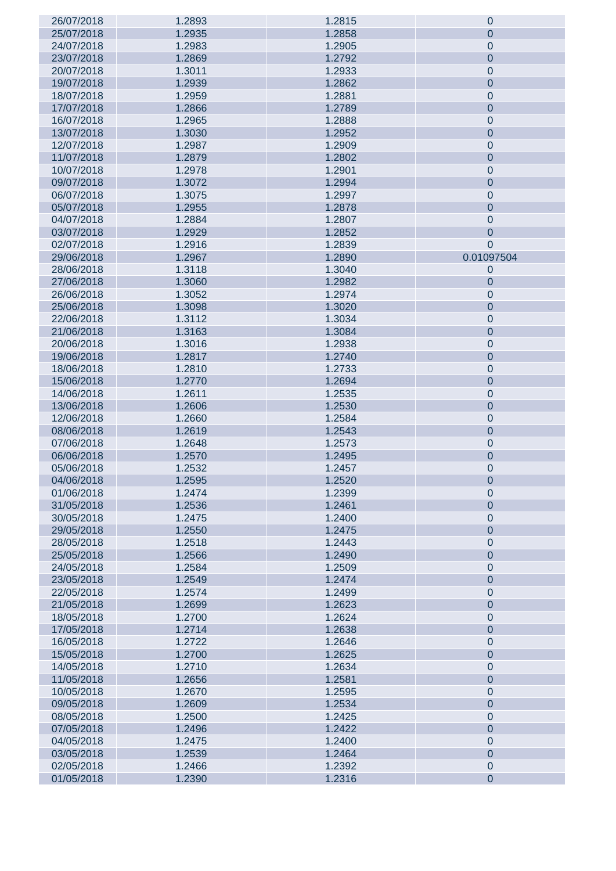| 26/07/2018 | 1.2893 | 1.2815 | $\theta$       |
|------------|--------|--------|----------------|
| 25/07/2018 | 1.2935 | 1.2858 | $\theta$       |
| 24/07/2018 | 1.2983 | 1.2905 | $\mathbf 0$    |
| 23/07/2018 | 1.2869 | 1.2792 | $\mathbf 0$    |
|            |        |        |                |
| 20/07/2018 | 1.3011 | 1.2933 | $\mathbf 0$    |
| 19/07/2018 | 1.2939 | 1.2862 | $\mathbf 0$    |
| 18/07/2018 | 1.2959 | 1.2881 | $\mathbf 0$    |
| 17/07/2018 | 1.2866 | 1.2789 | $\mathbf 0$    |
| 16/07/2018 | 1.2965 | 1.2888 | $\mathbf 0$    |
| 13/07/2018 | 1.3030 | 1.2952 | $\mathbf 0$    |
| 12/07/2018 | 1.2987 | 1.2909 | $\mathbf 0$    |
| 11/07/2018 | 1.2879 | 1.2802 | $\mathbf 0$    |
|            |        |        |                |
| 10/07/2018 | 1.2978 | 1.2901 | $\mathbf 0$    |
| 09/07/2018 | 1.3072 | 1.2994 | $\mathbf 0$    |
| 06/07/2018 | 1.3075 | 1.2997 | $\mathbf 0$    |
| 05/07/2018 | 1.2955 | 1.2878 | $\mathbf 0$    |
| 04/07/2018 | 1.2884 | 1.2807 | $\mathbf 0$    |
| 03/07/2018 | 1.2929 | 1.2852 | $\mathbf 0$    |
| 02/07/2018 | 1.2916 | 1.2839 | $\overline{0}$ |
| 29/06/2018 | 1.2967 | 1.2890 | 0.01097504     |
|            |        |        |                |
| 28/06/2018 | 1.3118 | 1.3040 | $\theta$       |
| 27/06/2018 | 1.3060 | 1.2982 | $\theta$       |
| 26/06/2018 | 1.3052 | 1.2974 | $\mathbf 0$    |
| 25/06/2018 | 1.3098 | 1.3020 | $\mathbf 0$    |
| 22/06/2018 | 1.3112 | 1.3034 | $\mathbf 0$    |
| 21/06/2018 | 1.3163 | 1.3084 | $\mathbf 0$    |
| 20/06/2018 | 1.3016 | 1.2938 | $\mathbf 0$    |
| 19/06/2018 | 1.2817 | 1.2740 | $\mathbf 0$    |
|            |        |        |                |
| 18/06/2018 | 1.2810 | 1.2733 | $\mathbf 0$    |
| 15/06/2018 | 1.2770 | 1.2694 | $\mathbf 0$    |
| 14/06/2018 | 1.2611 | 1.2535 | $\mathbf 0$    |
| 13/06/2018 | 1.2606 | 1.2530 | $\mathbf 0$    |
| 12/06/2018 | 1.2660 | 1.2584 | $\mathbf 0$    |
| 08/06/2018 | 1.2619 | 1.2543 | $\mathbf 0$    |
| 07/06/2018 | 1.2648 | 1.2573 | $\mathbf 0$    |
| 06/06/2018 | 1.2570 | 1.2495 | $\mathbf 0$    |
|            |        |        |                |
| 05/06/2018 | 1.2532 | 1.2457 | $\mathbf 0$    |
| 04/06/2018 | 1.2595 | 1.2520 | $\mathbf 0$    |
| 01/06/2018 | 1.2474 | 1.2399 | $\mathbf 0$    |
| 31/05/2018 | 1.2536 | 1.2461 | $\overline{0}$ |
| 30/05/2018 | 1.2475 | 1.2400 | $\mathbf 0$    |
| 29/05/2018 | 1.2550 | 1.2475 | $\overline{0}$ |
| 28/05/2018 | 1.2518 | 1.2443 | $\mathbf 0$    |
| 25/05/2018 | 1.2566 | 1.2490 | $\overline{0}$ |
| 24/05/2018 | 1.2584 | 1.2509 | $\mathbf 0$    |
|            |        |        |                |
| 23/05/2018 | 1.2549 | 1.2474 | $\mathbf 0$    |
| 22/05/2018 | 1.2574 | 1.2499 | $\mathbf 0$    |
| 21/05/2018 | 1.2699 | 1.2623 | $\mathbf 0$    |
| 18/05/2018 | 1.2700 | 1.2624 | $\mathbf 0$    |
| 17/05/2018 | 1.2714 | 1.2638 | $\mathbf 0$    |
| 16/05/2018 | 1.2722 | 1.2646 | $\mathbf 0$    |
| 15/05/2018 | 1.2700 | 1.2625 | $\mathbf 0$    |
| 14/05/2018 | 1.2710 | 1.2634 | $\mathbf 0$    |
|            |        |        |                |
| 11/05/2018 | 1.2656 | 1.2581 | $\mathbf 0$    |
| 10/05/2018 | 1.2670 | 1.2595 | $\mathbf 0$    |
| 09/05/2018 | 1.2609 | 1.2534 | $\mathbf 0$    |
| 08/05/2018 | 1.2500 | 1.2425 | $\mathbf 0$    |
| 07/05/2018 | 1.2496 | 1.2422 | $\mathbf 0$    |
| 04/05/2018 | 1.2475 | 1.2400 | $\mathbf 0$    |
| 03/05/2018 | 1.2539 | 1.2464 | $\mathbf 0$    |
| 02/05/2018 | 1.2466 | 1.2392 | $\mathbf 0$    |
| 01/05/2018 | 1.2390 | 1.2316 | $\mathbf 0$    |
|            |        |        |                |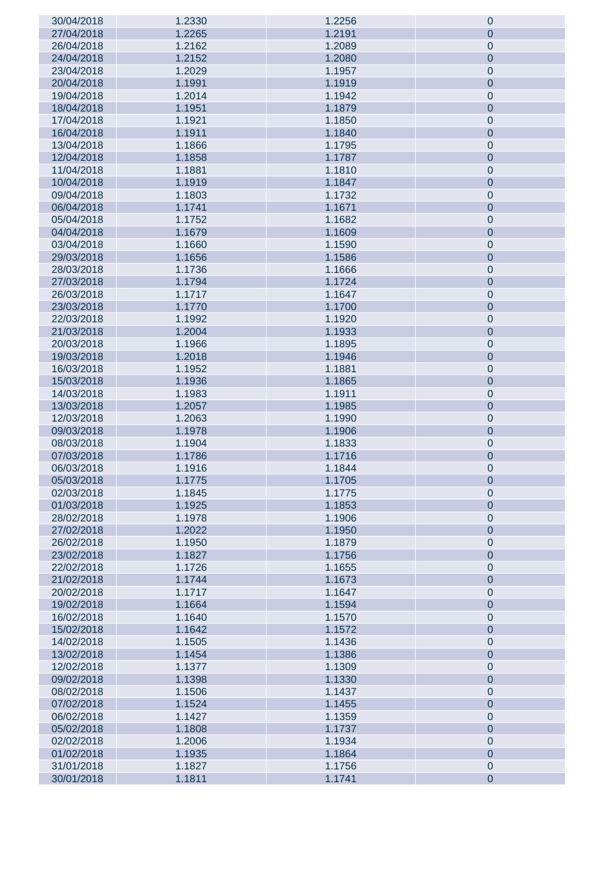| 30/04/2018 | 1.2330 | 1.2256 | $\pmb{0}$      |
|------------|--------|--------|----------------|
| 27/04/2018 | 1.2265 | 1.2191 | 0              |
| 26/04/2018 | 1.2162 | 1.2089 | $\mathbf 0$    |
| 24/04/2018 | 1.2152 | 1.2080 | $\pmb{0}$      |
| 23/04/2018 | 1.2029 | 1.1957 | $\mathbf 0$    |
| 20/04/2018 | 1.1991 | 1.1919 | $\pmb{0}$      |
| 19/04/2018 | 1.2014 | 1.1942 | $\mathbf 0$    |
| 18/04/2018 | 1.1951 | 1.1879 | $\pmb{0}$      |
|            |        |        |                |
| 17/04/2018 | 1.1921 | 1.1850 | $\mathbf 0$    |
| 16/04/2018 | 1.1911 | 1.1840 | $\pmb{0}$      |
| 13/04/2018 | 1.1866 | 1.1795 | $\mathbf 0$    |
| 12/04/2018 | 1.1858 | 1.1787 | $\pmb{0}$      |
| 11/04/2018 | 1.1881 | 1.1810 | $\mathbf 0$    |
| 10/04/2018 | 1.1919 | 1.1847 | $\pmb{0}$      |
| 09/04/2018 | 1.1803 | 1.1732 | $\mathbf 0$    |
| 06/04/2018 | 1.1741 | 1.1671 | $\pmb{0}$      |
| 05/04/2018 | 1.1752 | 1.1682 | $\mathbf 0$    |
| 04/04/2018 | 1.1679 | 1.1609 | $\pmb{0}$      |
| 03/04/2018 | 1.1660 | 1.1590 | $\mathbf 0$    |
| 29/03/2018 | 1.1656 | 1.1586 | $\pmb{0}$      |
| 28/03/2018 | 1.1736 | 1.1666 | $\mathbf 0$    |
| 27/03/2018 | 1.1794 | 1.1724 | $\pmb{0}$      |
| 26/03/2018 | 1.1717 | 1.1647 | $\mathbf 0$    |
| 23/03/2018 | 1.1770 | 1.1700 | $\pmb{0}$      |
| 22/03/2018 | 1.1992 | 1.1920 | $\mathbf 0$    |
| 21/03/2018 | 1.2004 | 1.1933 | $\pmb{0}$      |
| 20/03/2018 | 1.1966 | 1.1895 | $\mathbf 0$    |
| 19/03/2018 | 1.2018 | 1.1946 | $\pmb{0}$      |
|            |        |        |                |
| 16/03/2018 | 1.1952 | 1.1881 | $\pmb{0}$      |
| 15/03/2018 | 1.1936 | 1.1865 | $\pmb{0}$      |
| 14/03/2018 | 1.1983 | 1.1911 | $\pmb{0}$      |
| 13/03/2018 | 1.2057 | 1.1985 | $\pmb{0}$      |
| 12/03/2018 | 1.2063 | 1.1990 | $\pmb{0}$      |
| 09/03/2018 | 1.1978 | 1.1906 | $\pmb{0}$      |
| 08/03/2018 | 1.1904 | 1.1833 | $\mathbf 0$    |
| 07/03/2018 | 1.1786 | 1.1716 | $\pmb{0}$      |
| 06/03/2018 | 1.1916 | 1.1844 | $\pmb{0}$      |
| 05/03/2018 | 1.1775 | 1.1705 | $\pmb{0}$      |
| 02/03/2018 | 1.1845 | 1.1775 | $\pmb{0}$      |
| 01/03/2018 | 1.1925 | 1.1853 | $\pmb{0}$      |
| 28/02/2018 | 1.1978 | 1.1906 | $\pmb{0}$      |
| 27/02/2018 | 1.2022 | 1.1950 | $\pmb{0}$      |
| 26/02/2018 | 1.1950 | 1.1879 | $\pmb{0}$      |
| 23/02/2018 | 1.1827 | 1.1756 | $\pmb{0}$      |
| 22/02/2018 | 1.1726 | 1.1655 | $\pmb{0}$      |
| 21/02/2018 | 1.1744 | 1.1673 | $\pmb{0}$      |
| 20/02/2018 | 1.1717 | 1.1647 | $\pmb{0}$      |
| 19/02/2018 | 1.1664 | 1.1594 | $\pmb{0}$      |
| 16/02/2018 | 1.1640 | 1.1570 | $\pmb{0}$      |
| 15/02/2018 | 1.1642 | 1.1572 | $\pmb{0}$      |
| 14/02/2018 | 1.1505 | 1.1436 | $\pmb{0}$      |
| 13/02/2018 | 1.1454 | 1.1386 | $\pmb{0}$      |
| 12/02/2018 | 1.1377 | 1.1309 | $\pmb{0}$      |
| 09/02/2018 | 1.1398 | 1.1330 | $\pmb{0}$      |
| 08/02/2018 | 1.1506 | 1.1437 | $\pmb{0}$      |
| 07/02/2018 | 1.1524 | 1.1455 | $\pmb{0}$      |
|            | 1.1427 | 1.1359 |                |
| 06/02/2018 |        |        | $\pmb{0}$      |
| 05/02/2018 | 1.1808 | 1.1737 | $\pmb{0}$      |
| 02/02/2018 | 1.2006 | 1.1934 | $\pmb{0}$      |
| 01/02/2018 | 1.1935 | 1.1864 | $\pmb{0}$      |
| 31/01/2018 | 1.1827 | 1.1756 | $\pmb{0}$      |
| 30/01/2018 | 1.1811 | 1.1741 | $\overline{0}$ |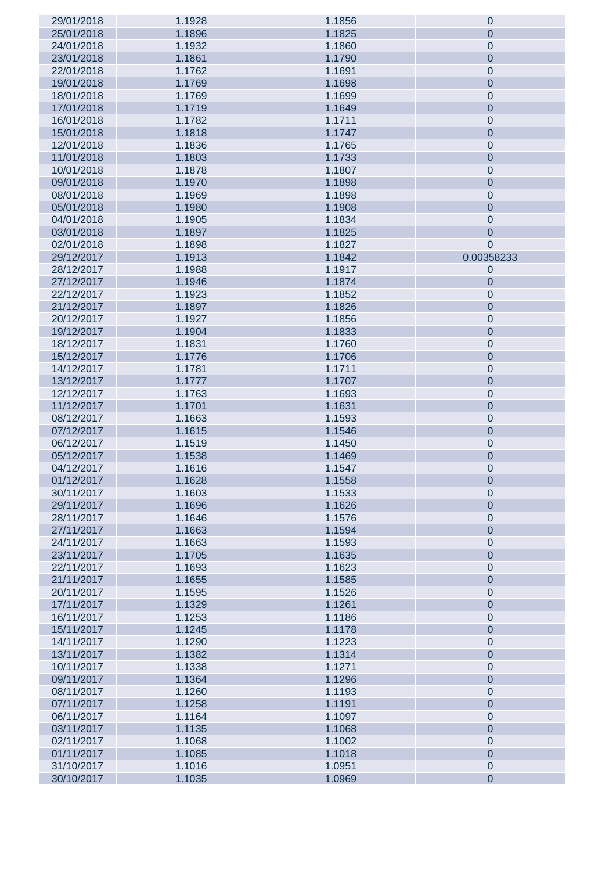| 29/01/2018 | 1.1928 | 1.1856 | $\mathbf 0$      |
|------------|--------|--------|------------------|
| 25/01/2018 | 1.1896 | 1.1825 | $\theta$         |
|            |        |        |                  |
| 24/01/2018 | 1.1932 | 1.1860 | $\mathbf 0$      |
| 23/01/2018 | 1.1861 | 1.1790 | $\mathbf 0$      |
| 22/01/2018 | 1.1762 | 1.1691 | $\mathbf 0$      |
| 19/01/2018 | 1.1769 | 1.1698 | $\mathbf 0$      |
|            |        |        |                  |
| 18/01/2018 | 1.1769 | 1.1699 | $\mathbf 0$      |
| 17/01/2018 | 1.1719 | 1.1649 | $\mathbf 0$      |
| 16/01/2018 | 1.1782 | 1.1711 | $\mathbf 0$      |
| 15/01/2018 | 1.1818 | 1.1747 | $\mathbf 0$      |
|            | 1.1836 |        |                  |
| 12/01/2018 |        | 1.1765 | $\mathbf 0$      |
| 11/01/2018 | 1.1803 | 1.1733 | $\mathbf 0$      |
| 10/01/2018 | 1.1878 | 1.1807 | $\mathbf 0$      |
| 09/01/2018 | 1.1970 | 1.1898 | $\mathbf 0$      |
| 08/01/2018 | 1.1969 | 1.1898 | $\mathbf 0$      |
|            |        |        |                  |
| 05/01/2018 | 1.1980 | 1.1908 | $\mathbf 0$      |
| 04/01/2018 | 1.1905 | 1.1834 | $\mathbf 0$      |
| 03/01/2018 | 1.1897 | 1.1825 | $\mathbf 0$      |
| 02/01/2018 | 1.1898 | 1.1827 | $\mathbf 0$      |
|            |        |        | 0.00358233       |
| 29/12/2017 | 1.1913 | 1.1842 |                  |
| 28/12/2017 | 1.1988 | 1.1917 | $\mathbf 0$      |
| 27/12/2017 | 1.1946 | 1.1874 | $\theta$         |
| 22/12/2017 | 1.1923 | 1.1852 | $\mathbf 0$      |
| 21/12/2017 | 1.1897 | 1.1826 | $\mathbf 0$      |
|            |        |        |                  |
| 20/12/2017 | 1.1927 | 1.1856 | $\mathbf 0$      |
| 19/12/2017 | 1.1904 | 1.1833 | $\mathbf 0$      |
| 18/12/2017 | 1.1831 | 1.1760 | $\mathbf 0$      |
| 15/12/2017 | 1.1776 | 1.1706 | $\mathbf 0$      |
|            |        |        |                  |
| 14/12/2017 | 1.1781 | 1.1711 | $\mathbf 0$      |
| 13/12/2017 | 1.1777 | 1.1707 | $\mathbf 0$      |
| 12/12/2017 | 1.1763 | 1.1693 | $\mathbf 0$      |
| 11/12/2017 | 1.1701 | 1.1631 | $\mathbf 0$      |
| 08/12/2017 | 1.1663 | 1.1593 | $\mathbf 0$      |
|            |        |        |                  |
| 07/12/2017 | 1.1615 | 1.1546 | $\mathbf 0$      |
| 06/12/2017 | 1.1519 | 1.1450 | $\mathbf 0$      |
| 05/12/2017 | 1.1538 | 1.1469 | $\mathbf 0$      |
| 04/12/2017 | 1.1616 | 1.1547 | $\mathbf 0$      |
| 01/12/2017 | 1.1628 | 1.1558 | $\theta$         |
|            |        |        |                  |
| 30/11/2017 | 1.1603 | 1.1533 | $\mathbf 0$      |
| 29/11/2017 | 1.1696 | 1.1626 | $\mathbf 0$      |
| 28/11/2017 | 1.1646 | 1.1576 | $\mathbf 0$      |
| 27/11/2017 | 1.1663 | 1.1594 | $\mathbf 0$      |
| 24/11/2017 | 1.1663 | 1.1593 | $\mathbf 0$      |
|            |        |        |                  |
| 23/11/2017 | 1.1705 | 1.1635 | $\mathbf 0$      |
| 22/11/2017 | 1.1693 | 1.1623 | $\mathbf 0$      |
| 21/11/2017 | 1.1655 | 1.1585 | $\mathbf 0$      |
| 20/11/2017 | 1.1595 | 1.1526 | $\mathbf 0$      |
|            |        |        | $\mathbf 0$      |
| 17/11/2017 | 1.1329 | 1.1261 |                  |
| 16/11/2017 | 1.1253 | 1.1186 | $\mathbf 0$      |
| 15/11/2017 | 1.1245 | 1.1178 | $\mathbf 0$      |
| 14/11/2017 | 1.1290 | 1.1223 | $\mathbf 0$      |
| 13/11/2017 | 1.1382 | 1.1314 | $\mathbf 0$      |
|            |        |        |                  |
| 10/11/2017 | 1.1338 | 1.1271 | $\mathbf 0$      |
| 09/11/2017 | 1.1364 | 1.1296 | $\mathbf 0$      |
| 08/11/2017 | 1.1260 | 1.1193 | $\mathbf 0$      |
| 07/11/2017 | 1.1258 | 1.1191 | $\mathbf 0$      |
| 06/11/2017 | 1.1164 | 1.1097 | $\mathbf 0$      |
|            |        |        |                  |
| 03/11/2017 | 1.1135 | 1.1068 | $\mathbf 0$      |
| 02/11/2017 | 1.1068 | 1.1002 | $\mathbf 0$      |
| 01/11/2017 | 1.1085 | 1.1018 | $\mathbf 0$      |
| 31/10/2017 | 1.1016 | 1.0951 | $\mathbf 0$      |
| 30/10/2017 | 1.1035 | 1.0969 | $\boldsymbol{0}$ |
|            |        |        |                  |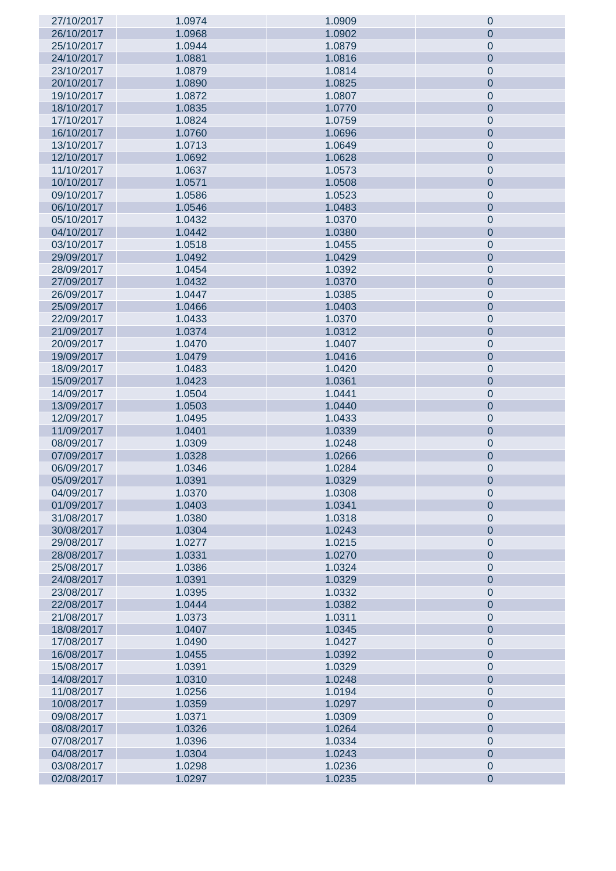| 27/10/2017 | 1.0974 | 1.0909 | $\pmb{0}$      |
|------------|--------|--------|----------------|
| 26/10/2017 | 1.0968 | 1.0902 | 0              |
| 25/10/2017 | 1.0944 | 1.0879 | $\pmb{0}$      |
|            |        |        |                |
| 24/10/2017 | 1.0881 | 1.0816 | $\pmb{0}$      |
| 23/10/2017 | 1.0879 | 1.0814 | $\pmb{0}$      |
| 20/10/2017 | 1.0890 | 1.0825 | $\pmb{0}$      |
| 19/10/2017 | 1.0872 | 1.0807 | $\mathbf 0$    |
| 18/10/2017 | 1.0835 | 1.0770 | $\pmb{0}$      |
|            |        |        |                |
| 17/10/2017 | 1.0824 | 1.0759 | $\mathbf 0$    |
| 16/10/2017 | 1.0760 | 1.0696 | $\pmb{0}$      |
| 13/10/2017 | 1.0713 | 1.0649 | $\mathbf 0$    |
| 12/10/2017 | 1.0692 | 1.0628 | $\pmb{0}$      |
| 11/10/2017 | 1.0637 | 1.0573 |                |
|            |        |        | $\mathbf 0$    |
| 10/10/2017 | 1.0571 | 1.0508 | $\pmb{0}$      |
| 09/10/2017 | 1.0586 | 1.0523 | $\mathbf 0$    |
| 06/10/2017 | 1.0546 | 1.0483 | $\pmb{0}$      |
| 05/10/2017 | 1.0432 | 1.0370 | $\pmb{0}$      |
| 04/10/2017 |        |        |                |
|            | 1.0442 | 1.0380 | $\pmb{0}$      |
| 03/10/2017 | 1.0518 | 1.0455 | $\mathbf 0$    |
| 29/09/2017 | 1.0492 | 1.0429 | $\pmb{0}$      |
| 28/09/2017 | 1.0454 | 1.0392 | $\mathbf 0$    |
| 27/09/2017 | 1.0432 | 1.0370 | $\pmb{0}$      |
|            |        |        |                |
| 26/09/2017 | 1.0447 | 1.0385 | $\pmb{0}$      |
| 25/09/2017 | 1.0466 | 1.0403 | $\pmb{0}$      |
| 22/09/2017 | 1.0433 | 1.0370 | $\mathbf 0$    |
| 21/09/2017 | 1.0374 | 1.0312 | $\pmb{0}$      |
| 20/09/2017 | 1.0470 | 1.0407 | $\mathbf 0$    |
|            |        |        |                |
| 19/09/2017 | 1.0479 | 1.0416 | $\pmb{0}$      |
| 18/09/2017 | 1.0483 | 1.0420 | $\pmb{0}$      |
| 15/09/2017 | 1.0423 | 1.0361 | $\pmb{0}$      |
| 14/09/2017 | 1.0504 | 1.0441 | $\pmb{0}$      |
| 13/09/2017 | 1.0503 | 1.0440 | $\pmb{0}$      |
|            |        |        |                |
| 12/09/2017 | 1.0495 | 1.0433 | $\pmb{0}$      |
| 11/09/2017 | 1.0401 | 1.0339 | $\pmb{0}$      |
| 08/09/2017 | 1.0309 | 1.0248 | $\pmb{0}$      |
| 07/09/2017 | 1.0328 | 1.0266 | $\pmb{0}$      |
| 06/09/2017 | 1.0346 | 1.0284 | $\pmb{0}$      |
|            |        | 1.0329 |                |
| 05/09/2017 | 1.0391 |        | $\pmb{0}$      |
| 04/09/2017 | 1.0370 | 1.0308 | $\pmb{0}$      |
| 01/09/2017 | 1.0403 | 1.0341 | $\pmb{0}$      |
| 31/08/2017 | 1.0380 | 1.0318 | $\pmb{0}$      |
| 30/08/2017 | 1.0304 | 1.0243 | $\pmb{0}$      |
| 29/08/2017 | 1.0277 | 1.0215 | $\pmb{0}$      |
|            |        |        |                |
| 28/08/2017 | 1.0331 | 1.0270 | $\pmb{0}$      |
| 25/08/2017 | 1.0386 | 1.0324 | $\pmb{0}$      |
| 24/08/2017 | 1.0391 | 1.0329 | $\pmb{0}$      |
| 23/08/2017 | 1.0395 | 1.0332 | $\pmb{0}$      |
| 22/08/2017 | 1.0444 | 1.0382 | $\pmb{0}$      |
|            |        |        |                |
| 21/08/2017 | 1.0373 | 1.0311 | $\pmb{0}$      |
| 18/08/2017 | 1.0407 | 1.0345 | $\pmb{0}$      |
| 17/08/2017 | 1.0490 | 1.0427 | $\pmb{0}$      |
| 16/08/2017 | 1.0455 | 1.0392 | $\pmb{0}$      |
| 15/08/2017 | 1.0391 | 1.0329 | $\pmb{0}$      |
|            | 1.0310 | 1.0248 | $\pmb{0}$      |
| 14/08/2017 |        |        |                |
| 11/08/2017 | 1.0256 | 1.0194 | $\pmb{0}$      |
| 10/08/2017 | 1.0359 | 1.0297 | $\pmb{0}$      |
| 09/08/2017 | 1.0371 | 1.0309 | $\pmb{0}$      |
| 08/08/2017 | 1.0326 | 1.0264 | $\pmb{0}$      |
| 07/08/2017 | 1.0396 | 1.0334 | $\pmb{0}$      |
|            |        |        |                |
| 04/08/2017 | 1.0304 | 1.0243 | $\pmb{0}$      |
| 03/08/2017 | 1.0298 | 1.0236 | $\pmb{0}$      |
| 02/08/2017 | 1.0297 | 1.0235 | $\overline{0}$ |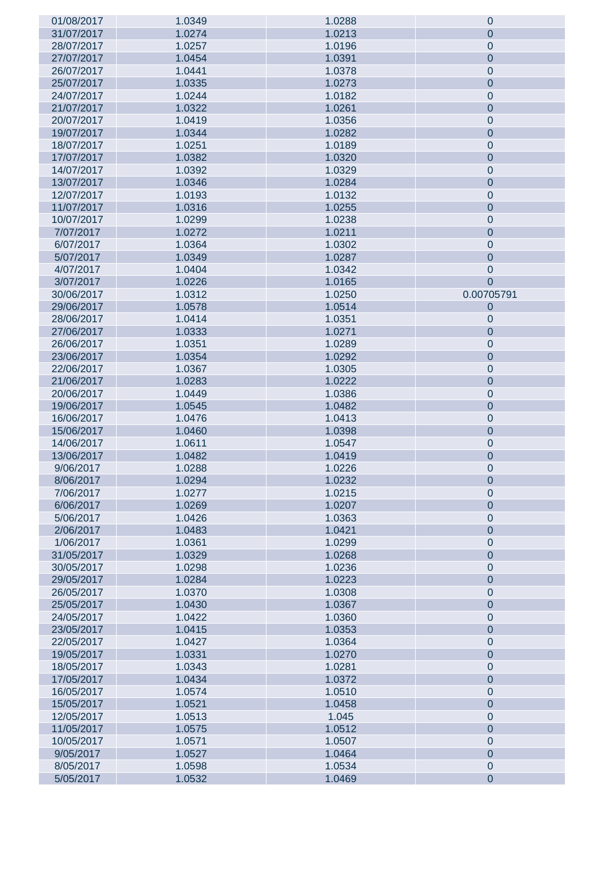| 01/08/2017 | 1.0349 | 1.0288 | $\mathbf 0$    |
|------------|--------|--------|----------------|
| 31/07/2017 | 1.0274 | 1.0213 | $\theta$       |
| 28/07/2017 | 1.0257 | 1.0196 | $\mathbf 0$    |
| 27/07/2017 | 1.0454 | 1.0391 | $\mathbf 0$    |
|            |        |        |                |
| 26/07/2017 | 1.0441 | 1.0378 | $\mathbf 0$    |
| 25/07/2017 | 1.0335 | 1.0273 | $\mathbf 0$    |
| 24/07/2017 | 1.0244 | 1.0182 | $\mathbf 0$    |
| 21/07/2017 | 1.0322 | 1.0261 | $\mathbf 0$    |
| 20/07/2017 | 1.0419 | 1.0356 | $\mathbf 0$    |
| 19/07/2017 | 1.0344 | 1.0282 | $\mathbf 0$    |
| 18/07/2017 | 1.0251 | 1.0189 | $\mathbf 0$    |
|            |        | 1.0320 |                |
| 17/07/2017 | 1.0382 |        | $\mathbf 0$    |
| 14/07/2017 | 1.0392 | 1.0329 | $\mathbf 0$    |
| 13/07/2017 | 1.0346 | 1.0284 | $\mathbf 0$    |
| 12/07/2017 | 1.0193 | 1.0132 | $\mathbf 0$    |
| 11/07/2017 | 1.0316 | 1.0255 | $\mathbf 0$    |
| 10/07/2017 | 1.0299 | 1.0238 | $\mathbf 0$    |
| 7/07/2017  | 1.0272 | 1.0211 | $\mathbf 0$    |
| 6/07/2017  | 1.0364 | 1.0302 | $\mathbf 0$    |
|            |        |        |                |
| 5/07/2017  | 1.0349 | 1.0287 | $\mathbf 0$    |
| 4/07/2017  | 1.0404 | 1.0342 | $\mathbf 0$    |
| 3/07/2017  | 1.0226 | 1.0165 | $\overline{0}$ |
| 30/06/2017 | 1.0312 | 1.0250 | 0.00705791     |
| 29/06/2017 | 1.0578 | 1.0514 | $\theta$       |
| 28/06/2017 | 1.0414 | 1.0351 | $\mathbf 0$    |
| 27/06/2017 | 1.0333 | 1.0271 | $\mathbf 0$    |
|            |        |        |                |
| 26/06/2017 | 1.0351 | 1.0289 | $\mathbf 0$    |
| 23/06/2017 | 1.0354 | 1.0292 | $\mathbf 0$    |
| 22/06/2017 | 1.0367 | 1.0305 | $\mathbf 0$    |
| 21/06/2017 | 1.0283 | 1.0222 | $\mathbf 0$    |
| 20/06/2017 | 1.0449 | 1.0386 | $\mathbf 0$    |
| 19/06/2017 | 1.0545 | 1.0482 | $\mathbf 0$    |
| 16/06/2017 | 1.0476 | 1.0413 | $\mathbf 0$    |
| 15/06/2017 | 1.0460 | 1.0398 | $\mathbf 0$    |
|            |        |        |                |
| 14/06/2017 | 1.0611 | 1.0547 | $\mathbf 0$    |
| 13/06/2017 | 1.0482 | 1.0419 | $\mathbf 0$    |
| 9/06/2017  | 1.0288 | 1.0226 | $\mathbf 0$    |
| 8/06/2017  | 1.0294 | 1.0232 | $\mathbf 0$    |
| 7/06/2017  | 1.0277 | 1.0215 | $\mathbf 0$    |
| 6/06/2017  | 1.0269 | 1.0207 | $\overline{0}$ |
| 5/06/2017  | 1.0426 | 1.0363 | $\mathbf 0$    |
| 2/06/2017  | 1.0483 | 1.0421 | $\overline{0}$ |
| 1/06/2017  | 1.0361 | 1.0299 | $\mathbf 0$    |
|            |        |        |                |
| 31/05/2017 | 1.0329 | 1.0268 | $\overline{0}$ |
| 30/05/2017 | 1.0298 | 1.0236 | $\mathbf 0$    |
| 29/05/2017 | 1.0284 | 1.0223 | $\overline{0}$ |
| 26/05/2017 | 1.0370 | 1.0308 | $\mathbf 0$    |
| 25/05/2017 | 1.0430 | 1.0367 | $\mathbf 0$    |
| 24/05/2017 | 1.0422 | 1.0360 | $\mathbf 0$    |
| 23/05/2017 | 1.0415 | 1.0353 | $\mathbf 0$    |
| 22/05/2017 | 1.0427 | 1.0364 | $\mathbf 0$    |
|            |        |        |                |
| 19/05/2017 | 1.0331 | 1.0270 | $\mathbf 0$    |
| 18/05/2017 | 1.0343 | 1.0281 | $\mathbf 0$    |
| 17/05/2017 | 1.0434 | 1.0372 | $\mathbf 0$    |
| 16/05/2017 | 1.0574 | 1.0510 | $\mathbf 0$    |
| 15/05/2017 | 1.0521 | 1.0458 | $\mathbf 0$    |
| 12/05/2017 | 1.0513 | 1.045  | $\mathbf 0$    |
| 11/05/2017 | 1.0575 | 1.0512 | $\mathbf 0$    |
| 10/05/2017 | 1.0571 | 1.0507 | $\mathbf 0$    |
| 9/05/2017  | 1.0527 | 1.0464 | $\mathbf 0$    |
|            |        |        |                |
| 8/05/2017  | 1.0598 | 1.0534 | $\pmb{0}$      |
| 5/05/2017  | 1.0532 | 1.0469 | $\mathbf 0$    |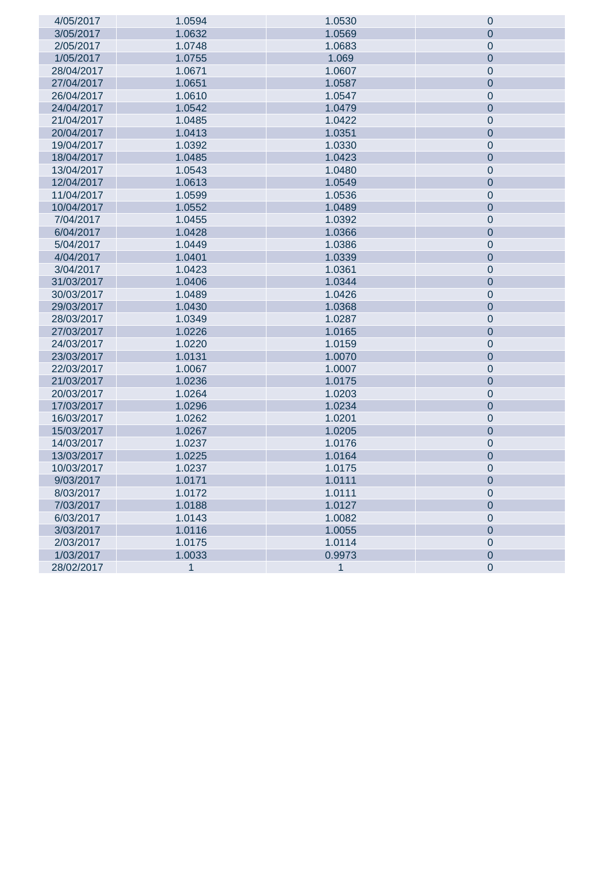| 4/05/2017  | 1.0594       | 1.0530       | $\pmb{0}$      |
|------------|--------------|--------------|----------------|
| 3/05/2017  | 1.0632       | 1.0569       | $\overline{0}$ |
| 2/05/2017  | 1.0748       | 1.0683       | $\mathbf 0$    |
| 1/05/2017  | 1.0755       | 1.069        | $\mathbf 0$    |
| 28/04/2017 | 1.0671       | 1.0607       | $\mathbf 0$    |
| 27/04/2017 | 1.0651       | 1.0587       | $\mathbf 0$    |
| 26/04/2017 | 1.0610       | 1.0547       | $\pmb{0}$      |
| 24/04/2017 | 1.0542       | 1.0479       | $\mathbf 0$    |
| 21/04/2017 | 1.0485       | 1.0422       | $\mathbf{0}$   |
| 20/04/2017 | 1.0413       | 1.0351       | $\mathbf 0$    |
| 19/04/2017 | 1.0392       | 1.0330       | $\mathbf{0}$   |
| 18/04/2017 | 1.0485       | 1.0423       | $\pmb{0}$      |
| 13/04/2017 | 1.0543       | 1.0480       | $\mathbf{0}$   |
| 12/04/2017 | 1.0613       | 1.0549       | $\pmb{0}$      |
| 11/04/2017 | 1.0599       | 1.0536       | $\mathbf{0}$   |
| 10/04/2017 | 1.0552       | 1.0489       | $\mathbf 0$    |
| 7/04/2017  | 1.0455       | 1.0392       | $\mathbf{0}$   |
| 6/04/2017  | 1.0428       | 1.0366       | $\pmb{0}$      |
| 5/04/2017  | 1.0449       | 1.0386       | $\mathbf{0}$   |
| 4/04/2017  | 1.0401       | 1.0339       | $\pmb{0}$      |
| 3/04/2017  | 1.0423       | 1.0361       | $\mathbf{0}$   |
| 31/03/2017 | 1.0406       | 1.0344       | $\mathbf 0$    |
| 30/03/2017 | 1.0489       | 1.0426       | $\mathbf{0}$   |
| 29/03/2017 | 1.0430       | 1.0368       | $\pmb{0}$      |
| 28/03/2017 | 1.0349       | 1.0287       | $\mathbf 0$    |
| 27/03/2017 | 1.0226       | 1.0165       | $\pmb{0}$      |
| 24/03/2017 | 1.0220       | 1.0159       | $\mathbf{0}$   |
| 23/03/2017 | 1.0131       | 1.0070       | $\mathbf 0$    |
| 22/03/2017 | 1.0067       | 1.0007       | $\mathbf{0}$   |
| 21/03/2017 | 1.0236       | 1.0175       | $\mathbf 0$    |
| 20/03/2017 | 1.0264       | 1.0203       | $\mathbf{0}$   |
| 17/03/2017 | 1.0296       | 1.0234       | $\pmb{0}$      |
| 16/03/2017 | 1.0262       | 1.0201       | $\mathbf{0}$   |
| 15/03/2017 | 1.0267       | 1.0205       | $\pmb{0}$      |
| 14/03/2017 | 1.0237       | 1.0176       | $\pmb{0}$      |
| 13/03/2017 | 1.0225       | 1.0164       | $\pmb{0}$      |
| 10/03/2017 | 1.0237       | 1.0175       | $\pmb{0}$      |
| 9/03/2017  | 1.0171       | 1.0111       | $\theta$       |
| 8/03/2017  | 1.0172       | 1.0111       | $\pmb{0}$      |
| 7/03/2017  | 1.0188       | 1.0127       | $\overline{0}$ |
| 6/03/2017  | 1.0143       | 1.0082       | $\mathbf 0$    |
| 3/03/2017  | 1.0116       | 1.0055       | $\overline{0}$ |
| 2/03/2017  | 1.0175       | 1.0114       | $\pmb{0}$      |
| 1/03/2017  | 1.0033       | 0.9973       | $\overline{0}$ |
| 28/02/2017 | $\mathbf{1}$ | $\mathbf{1}$ | $\mathbf 0$    |
|            |              |              |                |